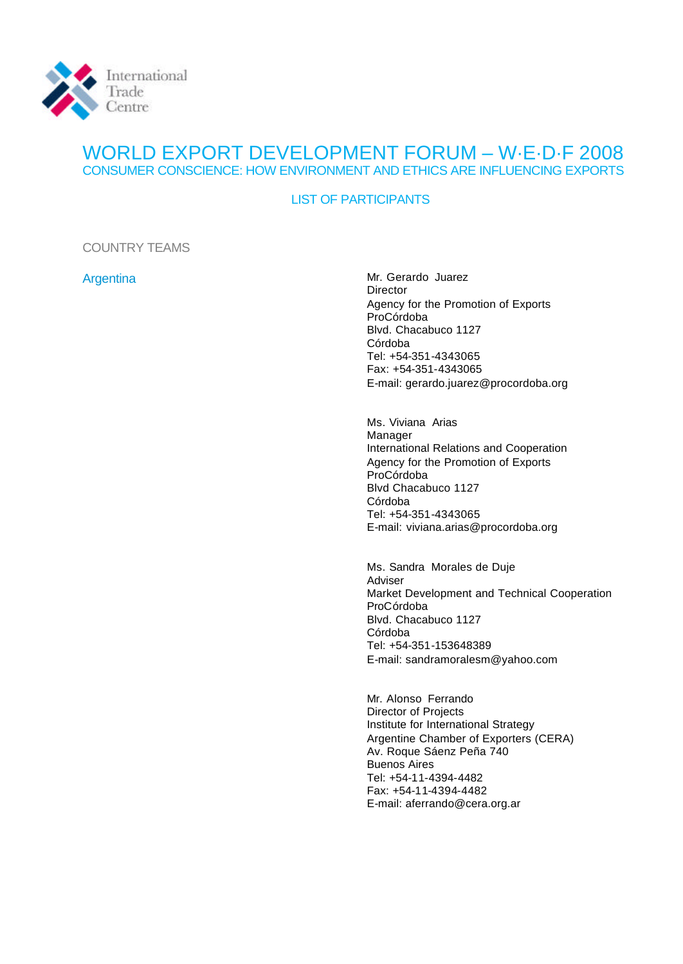

## WORLD EXPORT DEVELOPMENT FORUM – W·E·D·F 2008 CONSUMER CONSCIENCE: HOW ENVIRONMENT AND ETHICS ARE INFLUENCING EXPORTS

### LIST OF PARTICIPANTS

COUNTRY TEAMS

Argentina Mr. Gerardo Juarez Director Agency for the Promotion of Exports ProCórdoba Blvd. Chacabuco 1127 Córdoba Tel: +54-351-4343065 Fax: +54-351-4343065 E-mail: gerardo.juarez@procordoba.org

> Ms. Viviana Arias Manager International Relations and Cooperation Agency for the Promotion of Exports ProCórdoba Blvd Chacabuco 1127 Córdoba Tel: +54-351-4343065 E-mail: viviana.arias@procordoba.org

Ms. Sandra Morales de Duje Adviser Market Development and Technical Cooperation ProCórdoba Blvd. Chacabuco 1127 Córdoba Tel: +54-351-153648389 E-mail: sandramoralesm@yahoo.com

Mr. Alonso Ferrando Director of Projects Institute for International Strategy Argentine Chamber of Exporters (CERA) Av. Roque Sáenz Peña 740 Buenos Aires Tel: +54-11-4394-4482 Fax: +54-11-4394-4482 E-mail: aferrando@cera.org.ar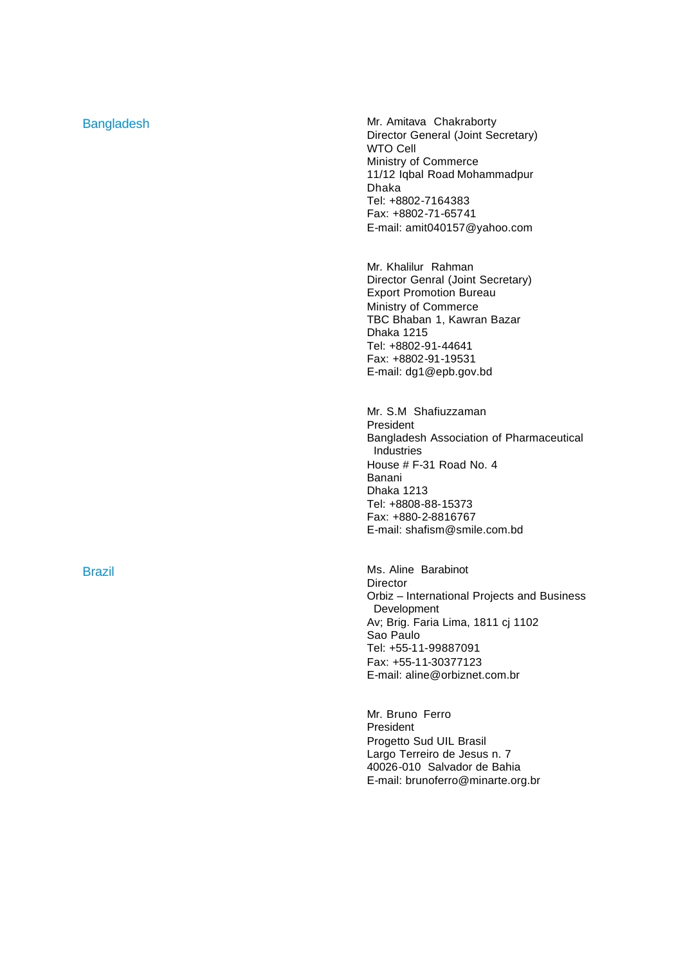Bangladesh Mr. Amitava Chakraborty Director General (Joint Secretary) WTO Cell Ministry of Commerce 11/12 Iqbal Road Mohammadpur Dhaka Tel: +8802 -7164383 Fax: +8802 -71 -65741 E -mail: amit040157@yahoo.com

> Mr. Khalilur Rahman Director Genral (Joint Secretary) Export Promotion Bureau Ministry of Commerce TBC Bhaban 1, Kawran Bazar Dhaka 1215 Tel: +8802 -91 -44641 Fax: +8802 -91 -19531 E -mail: dg1@epb.gov.bd

Mr. S.M Shafiuzzaman President Bangladesh Association of Pharmaceutical Industries House # F -31 Road No. 4 Banani Dhaka 1213 Tel: +8808 -88 -15373 Fax: +880-2-8816767 E -mail: shafism@smile.com.bd

Brazil **Brazil** Ms. Aline Barabinot Director Orbiz – International Projects and Business Development Av; Brig. Faria Lima, 1811 cj 1102 Sao Paulo Tel: +55 -11 -99887091 Fax: +55 -11 -30377123 E -mail: aline@orbiznet.com.br

> Mr. Bruno Ferro President Progetto Sud UIL Brasil Largo Terreiro de Jesus n. 7 40026 -010 Salvador de Bahia E -mail: brunoferro@minarte.org.br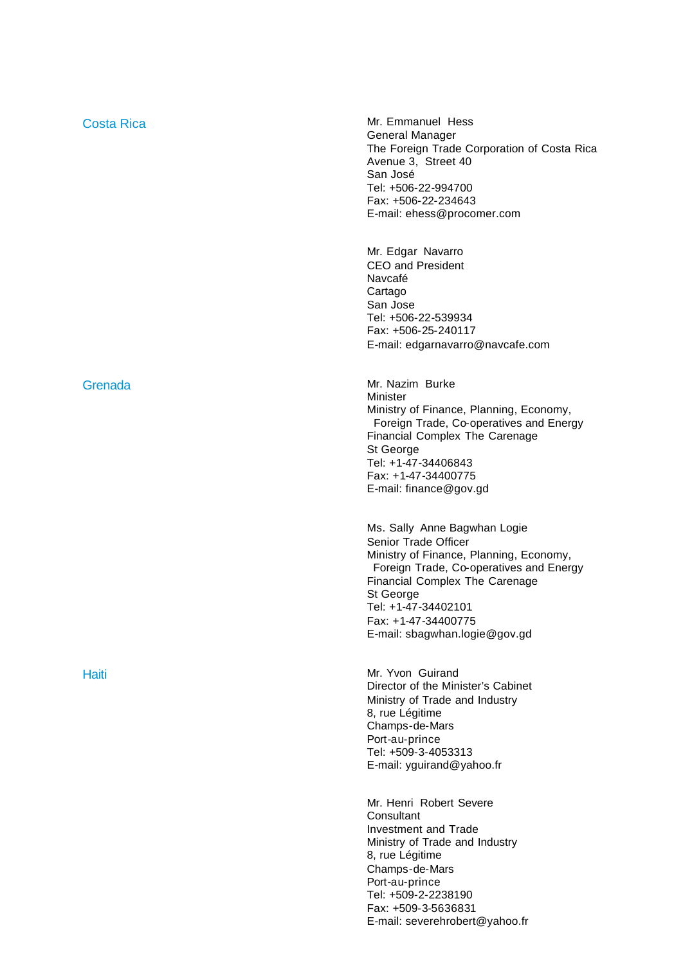| <b>Costa Rica</b> | Mr. Emmanuel Hess<br>General Manager<br>The Foreign Trade Corporation of Costa Rica<br>Avenue 3, Street 40<br>San José<br>Tel: +506-22-994700<br>Fax: +506-22-234643<br>E-mail: ehess@procomer.com                                                                              |
|-------------------|---------------------------------------------------------------------------------------------------------------------------------------------------------------------------------------------------------------------------------------------------------------------------------|
|                   | Mr. Edgar Navarro<br><b>CEO and President</b><br>Navcafé<br>Cartago<br>San Jose<br>Tel: +506-22-539934<br>Fax: +506-25-240117<br>E-mail: edgarnavarro@navcafe.com                                                                                                               |
| Grenada           | Mr. Nazim Burke<br>Minister<br>Ministry of Finance, Planning, Economy,<br>Foreign Trade, Co-operatives and Energy<br>Financial Complex The Carenage<br>St George<br>Tel: +1-47-34406843<br>Fax: +1-47-34400775<br>E-mail: finance@gov.gd                                        |
|                   | Ms. Sally Anne Bagwhan Logie<br>Senior Trade Officer<br>Ministry of Finance, Planning, Economy,<br>Foreign Trade, Co-operatives and Energy<br><b>Financial Complex The Carenage</b><br>St George<br>Tel: +1-47-34402101<br>Fax: +1-47-34400775<br>E-mail: sbagwhan.logie@gov.gd |
| Haiti             | Mr. Yvon Guirand<br>Director of the Minister's Cabinet<br>Ministry of Trade and Industry<br>8, rue Légitime<br>Champs-de-Mars<br>Port-au-prince<br>Tel: +509-3-4053313<br>E-mail: yguirand@yahoo.fr                                                                             |
|                   | Mr. Henri Robert Severe<br>Consultant<br><b>Investment and Trade</b><br>Ministry of Trade and Industry<br>8, rue Légitime<br>Champs-de-Mars<br>Port-au-prince<br>Tel: +509-2-2238190                                                                                            |

Fax: +509-3-5636831

E -mail: severehrobert@yahoo.fr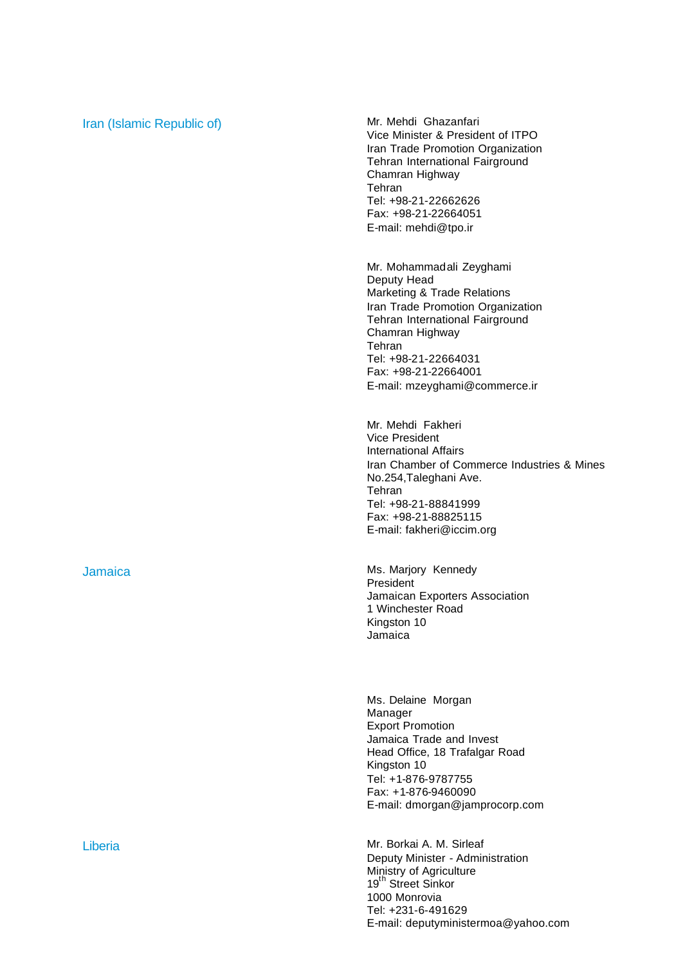## Iran (Islamic Republic of) Mr. Mehdi Ghazanfari

Vice Minister & President of ITPO Iran Trade Promotion Organization Tehran International Fairground Chamran Highway Tehran Tel: +98-21-22662626 Fax: +98-21-22664051 E-mail: mehdi@tpo.ir

Mr. Mohammadali Zeyghami Deputy Head Marketing & Trade Relations Iran Trade Promotion Organization Tehran International Fairground Chamran Highway Tehran Tel: +98-21-22664031 Fax: +98-21-22664001 E-mail: mzeyghami@commerce.ir

Mr. Mehdi Fakheri Vice President International Affairs Iran Chamber of Commerce Industries & Mines No.254,Taleghani Ave. Tehran Tel: +98-21-88841999 Fax: +98-21-88825115 E-mail: fakheri@iccim.org

Jamaica **Mus. Marting the Mus. Marticle Ms. Marjory Kennedy** President Jamaican Exporters Association 1 Winchester Road Kingston 10 Jamaica

> Ms. Delaine Morgan Manager Export Promotion Jamaica Trade and Invest Head Office, 18 Trafalgar Road Kingston 10 Tel: +1-876-9787755 Fax: +1-876-9460090 E-mail: dmorgan@jamprocorp.com

Liberia **Mr. Borkai A. M. Sirleaf** Deputy Minister - Administration Ministry of Agriculture 19<sup>th</sup> Street Sinkor 1000 Monrovia Tel: +231-6-491629 E-mail: deputyministermoa@yahoo.com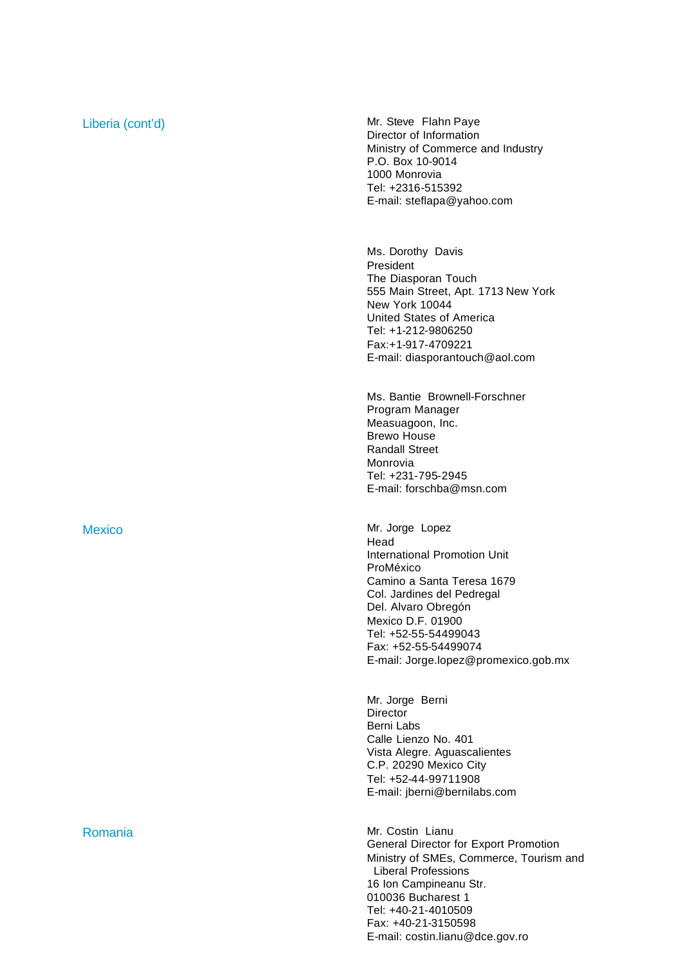Liberia (cont'd) and the context of the Mr. Steve Flahn Paye Director of Information Ministry of Commerce and Industry P.O. Box 10-9014 1000 Monrovia Tel: +2316-515392 E-mail: steflapa@yahoo.com

> Ms. Dorothy Davis President The Diasporan Touch 555 Main Street, Apt. 1713 New York New York 10044 United States of America Tel: +1-212-9806250 Fax:+1-917-4709221 E-mail: diasporantouch@aol.com

Ms. Bantie Brownell-Forschner Program Manager Measuagoon, Inc. Brewo House Randall Street Monrovia Tel: +231-795-2945 E-mail: forschba@msn.com

Mexico Mr. Jorge Lopez Head International Promotion Unit ProMéxico Camino a Santa Teresa 1679 Col. Jardines del Pedregal Del. Alvaro Obregón Mexico D.F. 01900 Tel: +52-55-54499043 Fax: +52-55-54499074 E-mail: Jorge.lopez@promexico.gob.mx

> Mr. Jorge Berni **Director** Berni Labs Calle Lienzo No. 401 Vista Alegre. Aguascalientes C.P. 20290 Mexico City Tel: +52-44-99711908 E-mail: jberni@bernilabs.com

Romania **Mr. Costin Lianu** General Director for Export Promotion Ministry of SMEs, Commerce, Tourism and Liberal Professions 16 Ion Campineanu Str. 010036 Bucharest 1 Tel: +40-21-4010509 Fax: +40-21-3150598 E-mail: costin.lianu@dce.gov.ro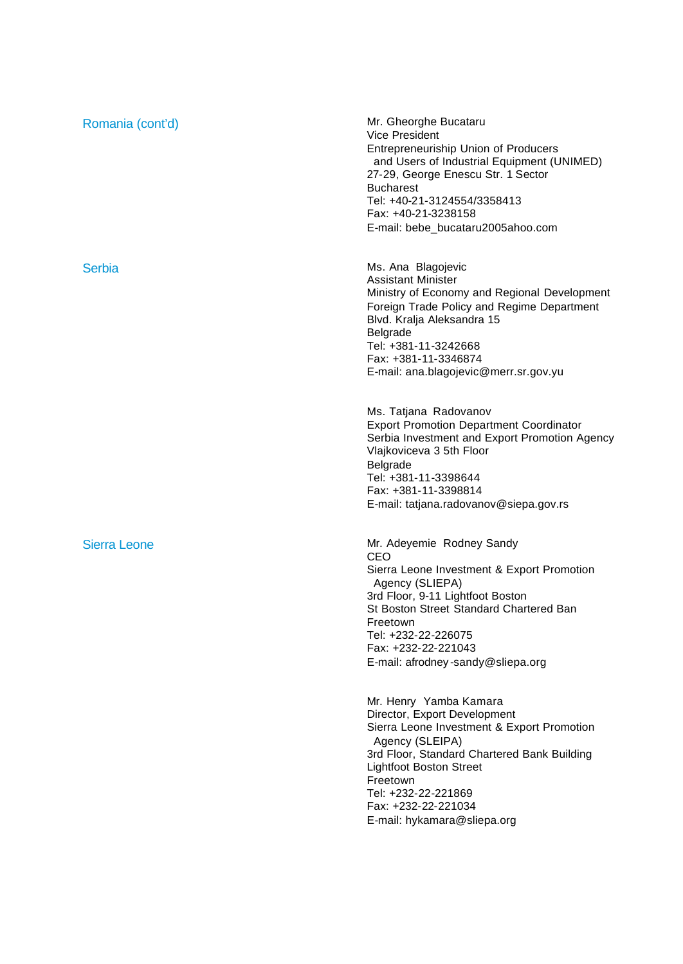| Romania (cont'd)    | Mr. Gheorghe Bucataru<br><b>Vice President</b><br><b>Entrepreneuriship Union of Producers</b><br>and Users of Industrial Equipment (UNIMED)<br>27-29, George Enescu Str. 1 Sector<br><b>Bucharest</b><br>Tel: +40-21-3124554/3358413<br>Fax: +40-21-3238158<br>E-mail: bebe_bucataru2005ahoo.com  |
|---------------------|---------------------------------------------------------------------------------------------------------------------------------------------------------------------------------------------------------------------------------------------------------------------------------------------------|
| Serbia              | Ms. Ana Blagojevic<br><b>Assistant Minister</b><br>Ministry of Economy and Regional Development<br>Foreign Trade Policy and Regime Department<br>Blvd. Kralja Aleksandra 15<br>Belgrade<br>Tel: +381-11-3242668<br>Fax: +381-11-3346874<br>E-mail: ana.blagojevic@merr.sr.gov.yu                  |
|                     | Ms. Tatjana Radovanov<br><b>Export Promotion Department Coordinator</b><br>Serbia Investment and Export Promotion Agency<br>Vlajkoviceva 3 5th Floor<br>Belgrade<br>Tel: +381-11-3398644<br>Fax: +381-11-3398814<br>E-mail: tatjana.radovanov@siepa.gov.rs                                        |
| <b>Sierra Leone</b> | Mr. Adeyemie Rodney Sandy<br>CEO<br>Sierra Leone Investment & Export Promotion<br>Agency (SLIEPA)<br>3rd Floor, 9-11 Lightfoot Boston<br>St Boston Street Standard Chartered Ban<br>Freetown<br>Tel: +232-22-226075<br>Fax: +232-22-221043<br>E-mail: afrodney-sandy@sliepa.org                   |
|                     | Mr. Henry Yamba Kamara<br>Director, Export Development<br>Sierra Leone Investment & Export Promotion<br>Agency (SLEIPA)<br>3rd Floor, Standard Chartered Bank Building<br><b>Lightfoot Boston Street</b><br>Freetown<br>Tel: +232-22-221869<br>Fax: +232-22-221034<br>E-mail: hykamara@sliepa.org |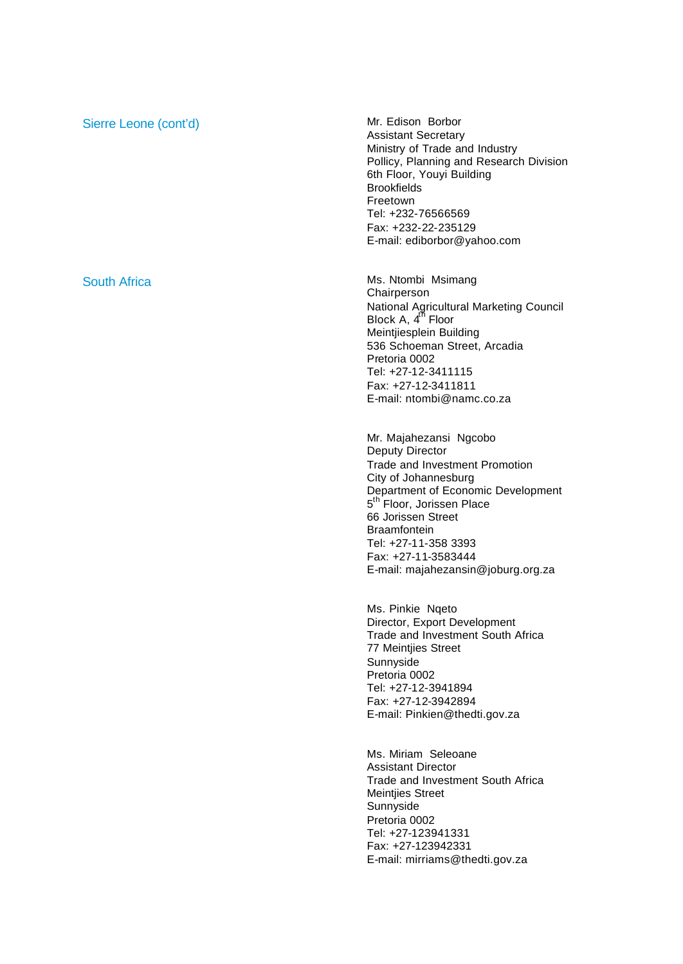## Sierre Leone (cont'd) Mr. Edison Borbor

Assistant Secretary Ministry of Trade and Industry Pollicy, Planning and Research Division 6th Floor, Youyi Building Brookfields Freetown Tel: +232-76566569 Fax: +232-22-235129 E-mail: ediborbor@yahoo.com

South Africa **Ms.** Numbi Msimang Chairperson National Agricultural Marketing Council Block A, 4<sup>th</sup> Floor Meintjiesplein Building 536 Schoeman Street, Arcadia Pretoria 0002 Tel: +27-12-3411115 Fax: +27-12-3411811 E-mail: ntombi@namc.co.za

> Mr. Majahezansi Ngcobo Deputy Director Trade and Investment Promotion City of Johannesburg Department of Economic Development 5<sup>th F</sup>loor, Jorissen Place 66 Jorissen Street **Braamfontein** Tel: +27-11-358 3393 Fax: +27-11-3583444 E-mail: majahezansin@joburg.org.za

Ms. Pinkie Nqeto Director, Export Development Trade and Investment South Africa 77 Meintjies Street Sunnyside Pretoria 0002 Tel: +27-12-3941894 Fax: +27-12-3942894 E-mail: Pinkien@thedti.gov.za

Ms. Miriam Seleoane Assistant Director Trade and Investment South Africa Meintjies Street **Sunnyside** Pretoria 0002 Tel: +27-123941331 Fax: +27-123942331 E-mail: mirriams@thedti.gov.za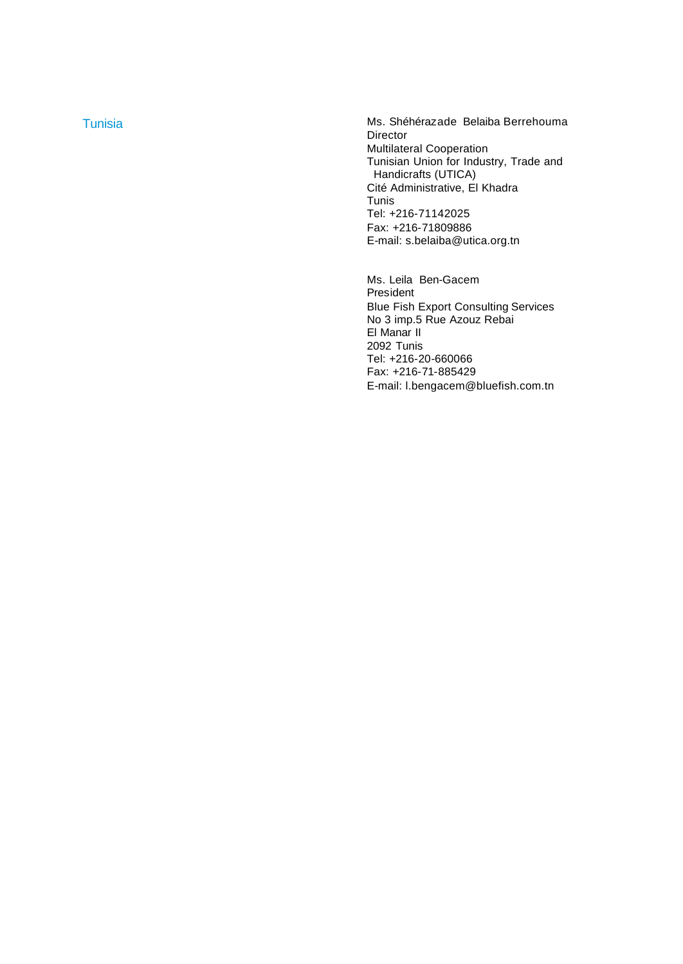Tunisia **Musica Accepter 1986** Ms. Shéhérazade Belaiba Berrehouma **Director** Multilateral Cooperation Tunisian Union for Industry, Trade and Handicrafts (UTICA) Cité Administrative, El Khadra Tunis Tel: +216 -71142025 Fax: +216 -71809886 E -mail: s.belaiba@utica.org.tn

> Ms. Leila Ben -Gacem President Blue Fish Export Consulting Services No 3 imp.5 Rue Azouz Rebai El Manar II 2092 Tunis Tel: +216 -20 -660066 Fax: +216-71-885429 E -mail: l.bengacem@bluefish.com.tn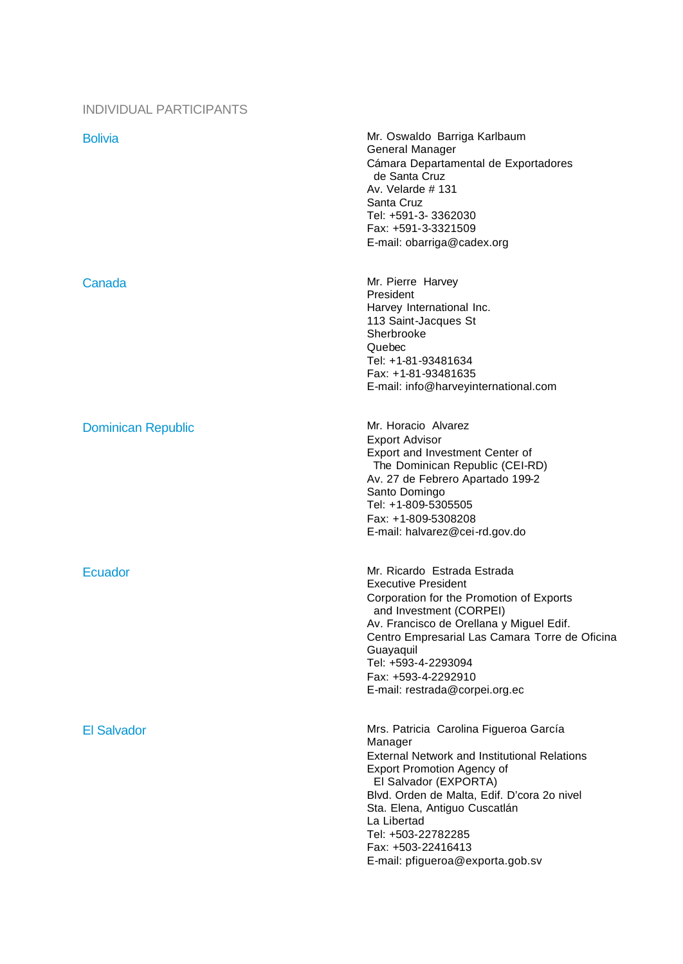### INDIVIDUAL PARTICIPANTS

| <b>Bolivia</b>            | Mr. Oswaldo Barriga Karlbaum<br>General Manager<br>Cámara Departamental de Exportadores<br>de Santa Cruz<br>Av. Velarde $#$ 131<br>Santa Cruz<br>Tel: +591-3-3362030<br>Fax: +591-3-3321509<br>E-mail: obarriga@cadex.org                                                                                                                             |
|---------------------------|-------------------------------------------------------------------------------------------------------------------------------------------------------------------------------------------------------------------------------------------------------------------------------------------------------------------------------------------------------|
| Canada                    | Mr. Pierre Harvey<br>President<br>Harvey International Inc.<br>113 Saint-Jacques St<br>Sherbrooke<br>Quebec<br>Tel: +1-81-93481634<br>Fax: +1-81-93481635<br>E-mail: info@harveyinternational.com                                                                                                                                                     |
| <b>Dominican Republic</b> | Mr. Horacio Alvarez<br><b>Export Advisor</b><br>Export and Investment Center of<br>The Dominican Republic (CEI-RD)<br>Av. 27 de Febrero Apartado 199-2<br>Santo Domingo<br>Tel: +1-809-5305505<br>Fax: +1-809-5308208<br>E-mail: halvarez@cei-rd.gov.do                                                                                               |
| <b>Ecuador</b>            | Mr. Ricardo Estrada Estrada<br><b>Executive President</b><br>Corporation for the Promotion of Exports<br>and Investment (CORPEI)<br>Av. Francisco de Orellana y Miguel Edif.<br>Centro Empresarial Las Camara Torre de Oficina<br>Guayaquil<br>Tel: +593-4-2293094<br>Fax: +593-4-2292910<br>E-mail: restrada@corpei.org.ec                           |
| <b>El Salvador</b>        | Mrs. Patricia Carolina Figueroa García<br>Manager<br><b>External Network and Institutional Relations</b><br><b>Export Promotion Agency of</b><br>El Salvador (EXPORTA)<br>Blvd. Orden de Malta, Edif. D'cora 2o nivel<br>Sta. Elena, Antiguo Cuscatlán<br>La Libertad<br>Tel: +503-22782285<br>Fax: +503-22416413<br>E-mail: pfigueroa@exporta.gob.sv |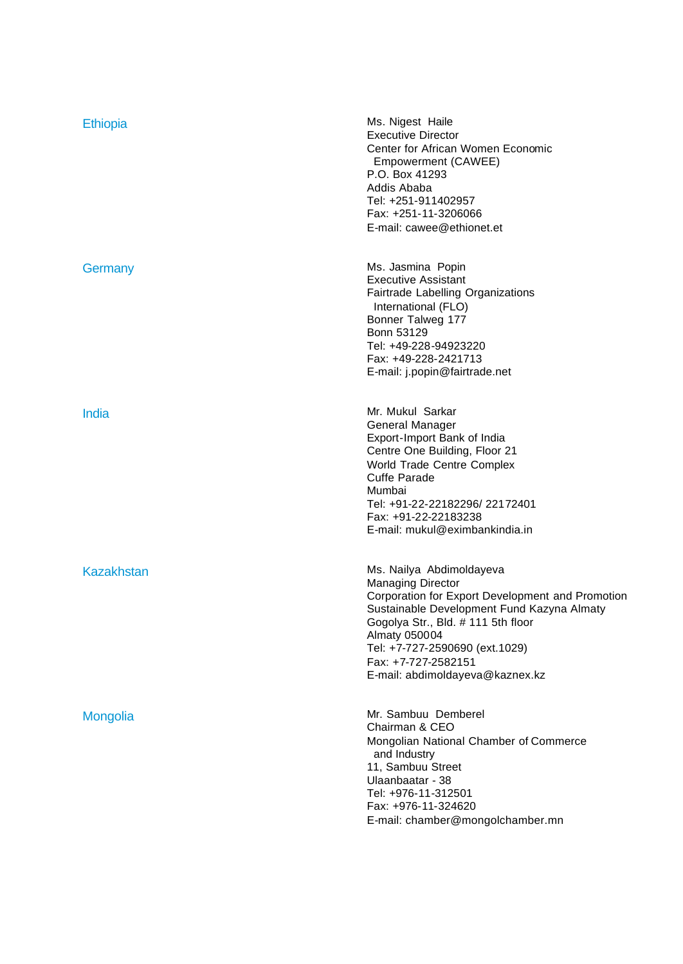| <b>Ethiopia</b>   | Ms. Nigest Haile<br><b>Executive Director</b><br>Center for African Women Economic<br>Empowerment (CAWEE)<br>P.O. Box 41293<br>Addis Ababa<br>Tel: +251-911402957<br>Fax: +251-11-3206066<br>E-mail: cawee@ethionet.et                                                                                    |
|-------------------|-----------------------------------------------------------------------------------------------------------------------------------------------------------------------------------------------------------------------------------------------------------------------------------------------------------|
| Germany           | Ms. Jasmina Popin<br><b>Executive Assistant</b><br><b>Fairtrade Labelling Organizations</b><br>International (FLO)<br>Bonner Talweg 177<br>Bonn 53129<br>Tel: +49-228-94923220<br>Fax: +49-228-2421713<br>E-mail: j.popin@fairtrade.net                                                                   |
| India             | Mr. Mukul Sarkar<br>General Manager<br>Export-Import Bank of India<br>Centre One Building, Floor 21<br>World Trade Centre Complex<br><b>Cuffe Parade</b><br>Mumbai<br>Tel: +91-22-22182296/22172401<br>Fax: +91-22-22183238<br>E-mail: mukul@eximbankindia.in                                             |
| <b>Kazakhstan</b> | Ms. Nailya Abdimoldayeva<br><b>Managing Director</b><br>Corporation for Export Development and Promotion<br>Sustainable Development Fund Kazyna Almaty<br>Gogolya Str., Bld. # 111 5th floor<br>Almaty 050004<br>Tel: +7-727-2590690 (ext.1029)<br>Fax: +7-727-2582151<br>E-mail: abdimoldayeva@kaznex.kz |
| Mongolia          | Mr. Sambuu Demberel<br>Chairman & CEO<br>Mongolian National Chamber of Commerce<br>and Industry<br>11, Sambuu Street<br>Ulaanbaatar - 38<br>Tel: +976-11-312501<br>Fax: +976-11-324620<br>E-mail: chamber@mongolchamber.mn                                                                                |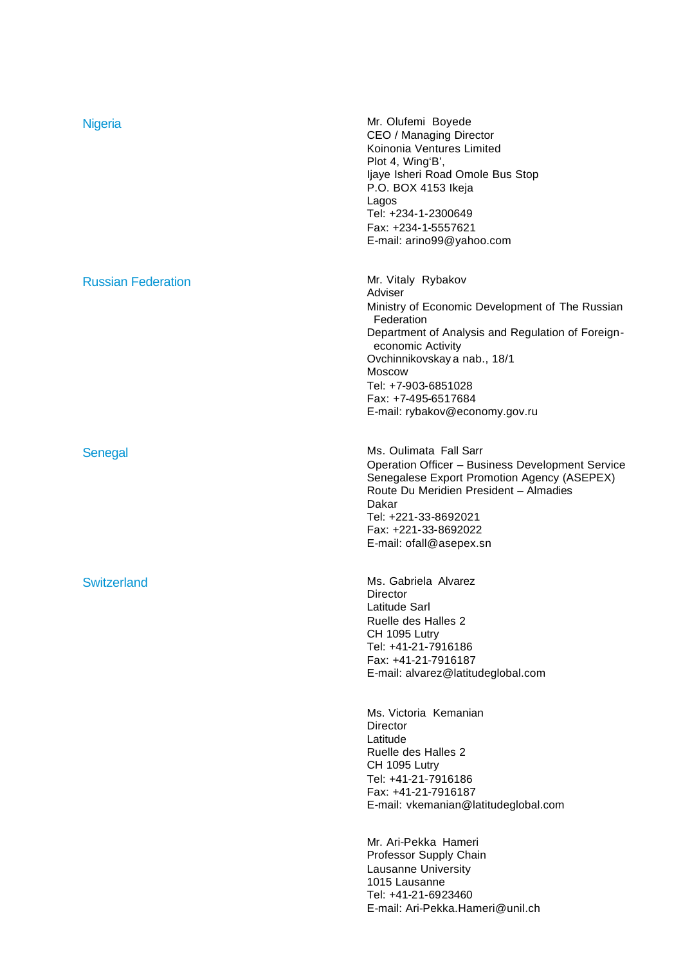| Nigeria                   | Mr. Olufemi Boyede<br>CEO / Managing Director<br>Koinonia Ventures Limited<br>Plot 4, Wing'B',<br>Ijaye Isheri Road Omole Bus Stop<br>P.O. BOX 4153 Ikeja<br>Lagos<br>Tel: +234-1-2300649<br>Fax: +234-1-5557621<br>E-mail: arino99@yahoo.com                                                      |
|---------------------------|----------------------------------------------------------------------------------------------------------------------------------------------------------------------------------------------------------------------------------------------------------------------------------------------------|
| <b>Russian Federation</b> | Mr. Vitaly Rybakov<br>Adviser<br>Ministry of Economic Development of The Russian<br>Federation<br>Department of Analysis and Regulation of Foreign-<br>economic Activity<br>Ovchinnikovskay a nab., 18/1<br>Moscow<br>Tel: +7-903-6851028<br>Fax: +7-495-6517684<br>E-mail: rybakov@economy.gov.ru |
| Senegal                   | Ms. Oulimata Fall Sarr<br>Operation Officer - Business Development Service<br>Senegalese Export Promotion Agency (ASEPEX)<br>Route Du Meridien President - Almadies<br>Dakar<br>Tel: +221-33-8692021<br>Fax: +221-33-8692022<br>E-mail: ofall@asepex.sn                                            |
| <b>Switzerland</b>        | Ms. Gabriela Alvarez<br>Director<br>Latitude Sarl<br>Ruelle des Halles 2<br>CH 1095 Lutry<br>Tel: +41-21-7916186<br>Fax: +41-21-7916187<br>E-mail: alvarez@latitudeglobal.com                                                                                                                      |
|                           | Ms. Victoria Kemanian<br><b>Director</b><br>Latitude<br>Ruelle des Halles 2<br>CH 1095 Lutry<br>Tel: +41-21-7916186<br>Fax: +41-21-7916187<br>E-mail: vkemanian@latitudeglobal.com                                                                                                                 |
|                           | Mr. Ari-Pekka Hameri<br>Professor Supply Chain<br>Lausanne University<br>1015 Lausanne<br>Tel: +41-21-6923460<br>E-mail: Ari-Pekka.Hameri@unil.ch                                                                                                                                                  |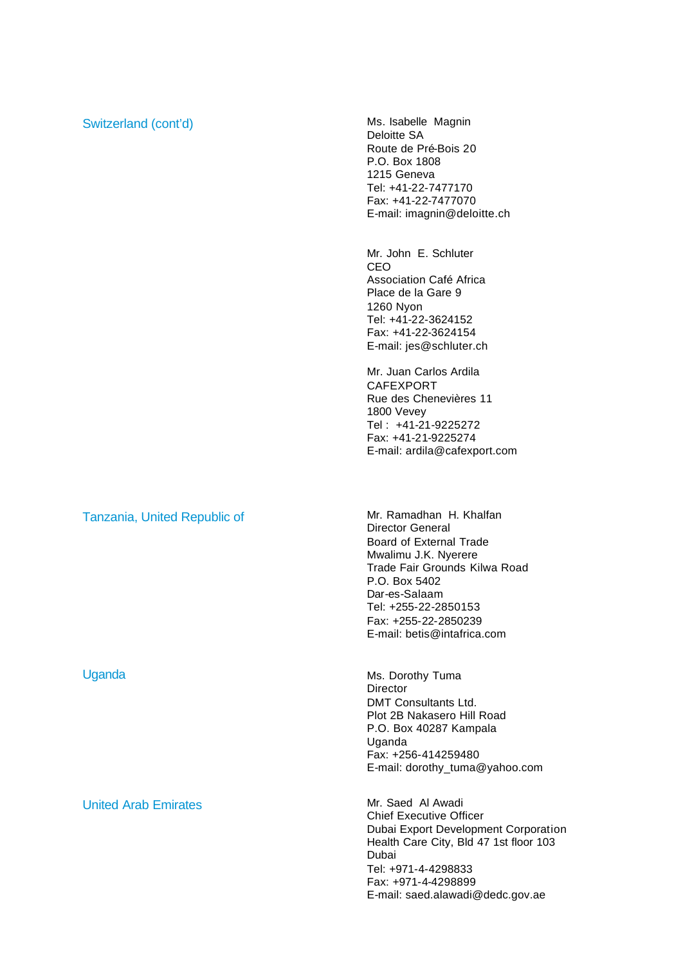### Switzerland (cont'd) Ms. Isabelle Magnin

Deloitte SA Route de Pré-Bois 20 P.O. Box 1808 1215 Geneva Tel: +41-22-7477170 Fax: +41-22-7477070 E-mail: imagnin@deloitte.ch

Mr. John E. Schluter CEO Association Café Africa Place de la Gare 9 1260 Nyon Tel: +41-22-3624152 Fax: +41-22-3624154 E-mail: jes@schluter.ch

Mr. Juan Carlos Ardila CAFEXPORT Rue des Chenevières 11 1800 Vevey Tel : +41-21-9225272 Fax: +41-21-9225274 E-mail: ardila@cafexport.com

Tanzania, United Republic of Mr. Ramadhan H. Khalfan

United Arab Emirates Mr. Saed Al Awadi

Director General Board of External Trade Mwalimu J.K. Nyerere Trade Fair Grounds Kilwa Road P.O. Box 5402 Dar-es-Salaam Tel: +255-22-2850153 Fax: +255-22-2850239 E-mail: betis@intafrica.com

Uganda Ms. Dorothy Tuma **Director** DMT Consultants Ltd. Plot 2B Nakasero Hill Road P.O. Box 40287 Kampala Uganda Fax: +256-414259480 E-mail: dorothy\_tuma@yahoo.com

> Chief Executive Officer Dubai Export Development Corporation Health Care City, Bld 47 1st floor 103 Dubai Tel: +971-4-4298833 Fax: +971-4-4298899 E-mail: saed.alawadi@dedc.gov.ae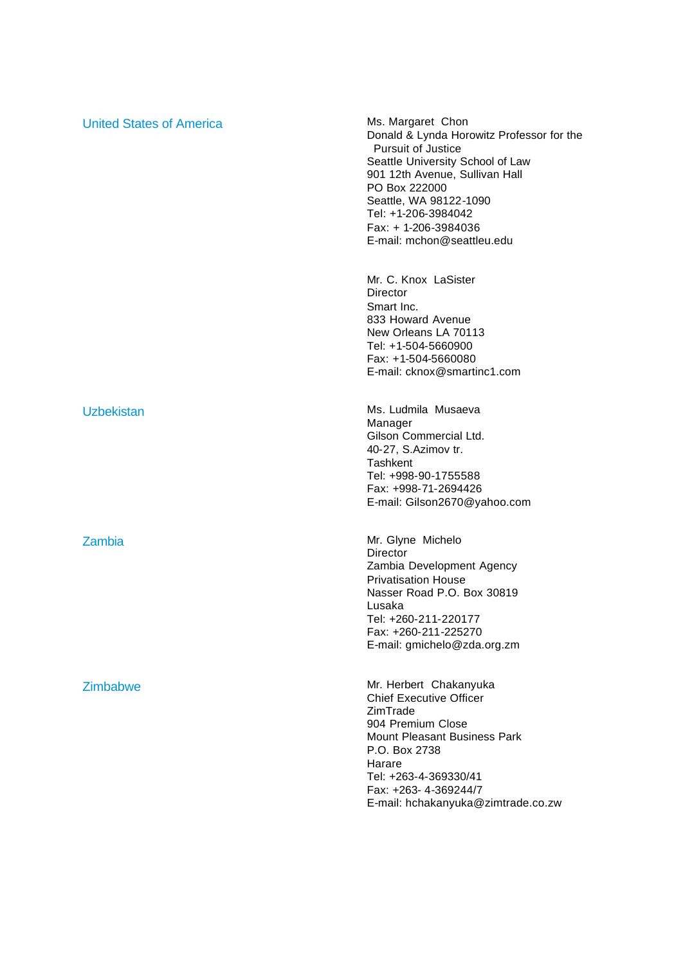| <b>United States of America</b> | Ms. Margaret Chon<br>Donald & Lynda Horowitz Professor for the<br><b>Pursuit of Justice</b><br>Seattle University School of Law<br>901 12th Avenue, Sullivan Hall<br>PO Box 222000<br>Seattle, WA 98122-1090<br>Tel: +1-206-3984042<br>Fax: $+ 1-206-3984036$<br>E-mail: mchon@seattleu.edu |
|---------------------------------|---------------------------------------------------------------------------------------------------------------------------------------------------------------------------------------------------------------------------------------------------------------------------------------------|
|                                 | Mr. C. Knox LaSister<br>Director<br>Smart Inc.<br>833 Howard Avenue<br>New Orleans LA 70113<br>Tel: +1-504-5660900<br>Fax: +1-504-5660080<br>E-mail: cknox@smartinc1.com                                                                                                                    |
| <b>Uzbekistan</b>               | Ms. Ludmila Musaeva<br>Manager<br>Gilson Commercial Ltd.<br>40-27, S.Azimov tr.<br>Tashkent<br>Tel: +998-90-1755588<br>Fax: +998-71-2694426<br>E-mail: Gilson2670@yahoo.com                                                                                                                 |
| Zambia                          | Mr. Glyne Michelo<br>Director<br>Zambia Development Agency<br><b>Privatisation House</b><br>Nasser Road P.O. Box 30819<br>Lusaka<br>Tel: +260-211-220177<br>Fax: +260-211-225270<br>E-mail: gmichelo@zda.org.zm                                                                             |
| Zimbabwe                        | Mr. Herbert Chakanyuka<br><b>Chief Executive Officer</b><br>ZimTrade<br>904 Premium Close<br><b>Mount Pleasant Business Park</b><br>P.O. Box 2738<br>Harare<br>Tel: +263-4-369330/41<br>Fax: +263-4-369244/7<br>E-mail: hchakanyuka@zimtrade.co.zw                                          |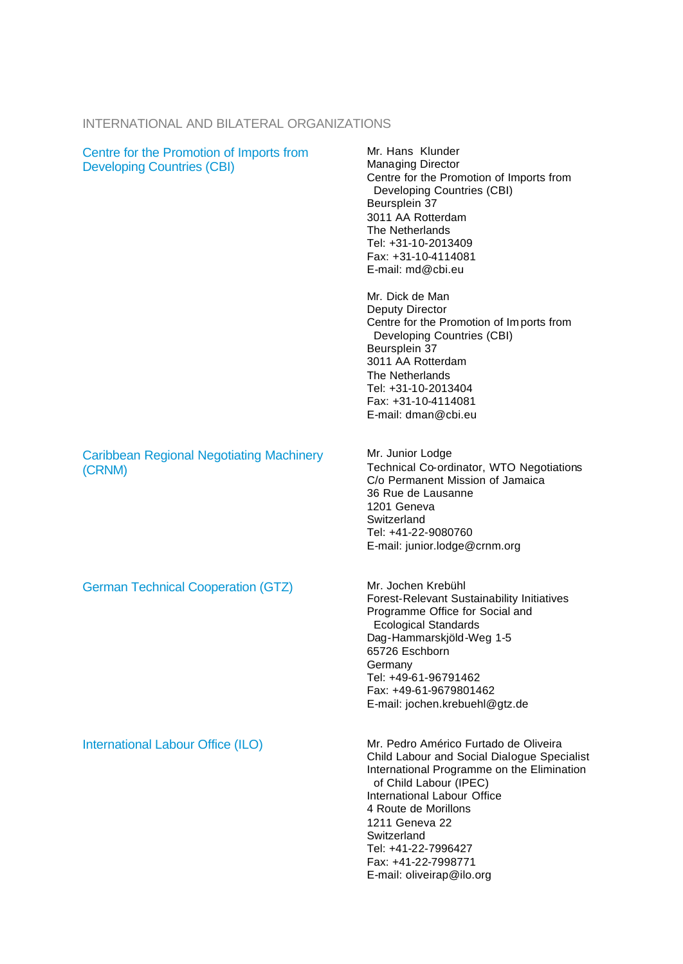# INTERNATIONAL AND BILATERAL ORGANIZATIONS

| Centre for the Promotion of Imports from<br><b>Developing Countries (CBI)</b> | Mr. Hans Klunder<br>Managing Director<br>Centre for the Promotion of Imports from<br>Developing Countries (CBI)<br>Beursplein 37<br>3011 AA Rotterdam<br>The Netherlands<br>Tel: +31-10-2013409<br>Fax: +31-10-4114081<br>E-mail: md@cbi.eu                                                                                     |
|-------------------------------------------------------------------------------|---------------------------------------------------------------------------------------------------------------------------------------------------------------------------------------------------------------------------------------------------------------------------------------------------------------------------------|
|                                                                               | Mr. Dick de Man<br><b>Deputy Director</b><br>Centre for the Promotion of Imports from<br>Developing Countries (CBI)<br>Beursplein 37<br>3011 AA Rotterdam<br>The Netherlands<br>Tel: +31-10-2013404<br>Fax: +31-10-4114081<br>E-mail: dman@cbi.eu                                                                               |
| <b>Caribbean Regional Negotiating Machinery</b><br>(CRNM)                     | Mr. Junior Lodge<br>Technical Co-ordinator, WTO Negotiations<br>C/o Permanent Mission of Jamaica<br>36 Rue de Lausanne<br>1201 Geneva<br>Switzerland<br>Tel: +41-22-9080760<br>E-mail: junior.lodge@crnm.org                                                                                                                    |
| <b>German Technical Cooperation (GTZ)</b>                                     | Mr. Jochen Krebühl<br><b>Forest-Relevant Sustainability Initiatives</b><br>Programme Office for Social and<br><b>Ecological Standards</b><br>Dag-Hammarskjöld-Weg 1-5<br>65726 Eschborn<br>Germany<br>Tel: +49-61-96791462<br>Fax: +49-61-9679801462<br>E-mail: jochen.krebuehl@gtz.de                                          |
| International Labour Office (ILO)                                             | Mr. Pedro Américo Furtado de Oliveira<br>Child Labour and Social Dialogue Specialist<br>International Programme on the Elimination<br>of Child Labour (IPEC)<br>International Labour Office<br>4 Route de Morillons<br>1211 Geneva 22<br>Switzerland<br>Tel: +41-22-7996427<br>Fax: +41-22-7998771<br>E-mail: oliveirap@ilo.org |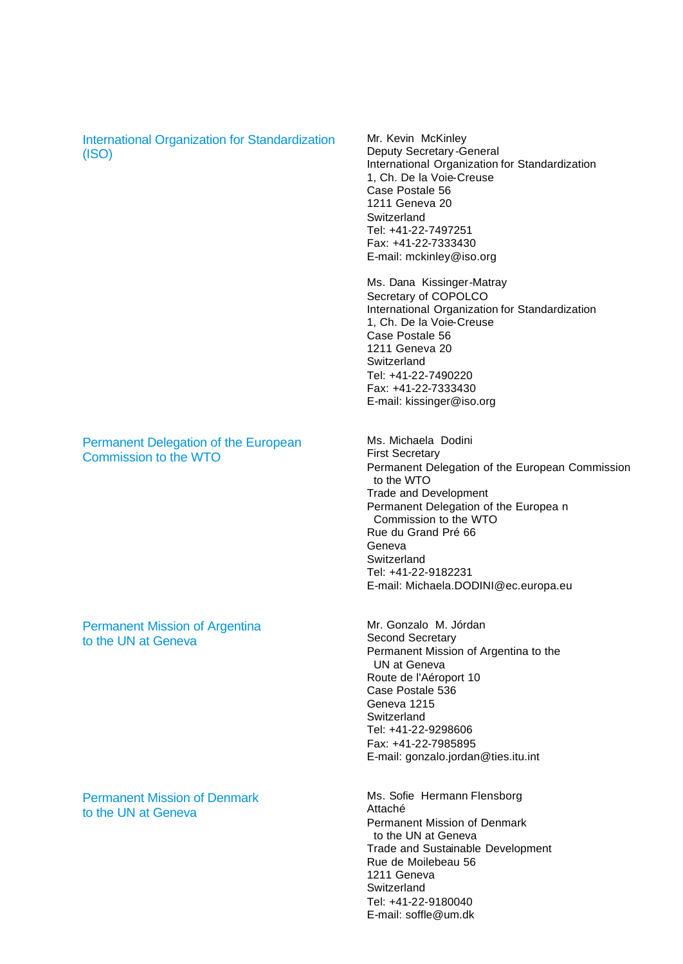International Organization for Standardization (ISO)

#### Permanent Delegation of the European Commission to the WTO

#### Permanent Mission of Argentina to the UN at Geneva

Permanent Mission of Denmark to the UN at Geneva

Mr. Kevin McKinley Deputy Secretary -General International Organization for Standardization 1, Ch. De la Voie-Creuse Case Postale 56 1211 Geneva 20 **Switzerland** Tel: +41-22-7497251 Fax: +41-22-7333430 E-mail: mckinley@iso.org

Ms. Dana Kissinger-Matray Secretary of COPOLCO International Organization for Standardization 1, Ch. De la Voie-Creuse Case Postale 56 1211 Geneva 20 **Switzerland** Tel: +41-22-7490220 Fax: +41-22-7333430 E-mail: kissinger@iso.org

Ms. Michaela Dodini First Secretary Permanent Delegation of the European Commission to the WTO Trade and Development Permanent Delegation of the Europea n Commission to the WTO Rue du Grand Pré 66 Geneva **Switzerland** Tel: +41-22-9182231 E-mail: Michaela.DODINI@ec.europa.eu

Mr. Gonzalo M. Jórdan Second Secretary Permanent Mission of Argentina to the UN at Geneva Route de l'Aéroport 10 Case Postale 536 Geneva 1215 **Switzerland** Tel: +41-22-9298606 Fax: +41-22-7985895 E-mail: gonzalo.jordan@ties.itu.int

Ms. Sofie Hermann Flensborg Attaché Permanent Mission of Denmark to the UN at Geneva Trade and Sustainable Development Rue de Moilebeau 56 1211 Geneva **Switzerland** Tel: +41-22-9180040 E-mail: soffle@um.dk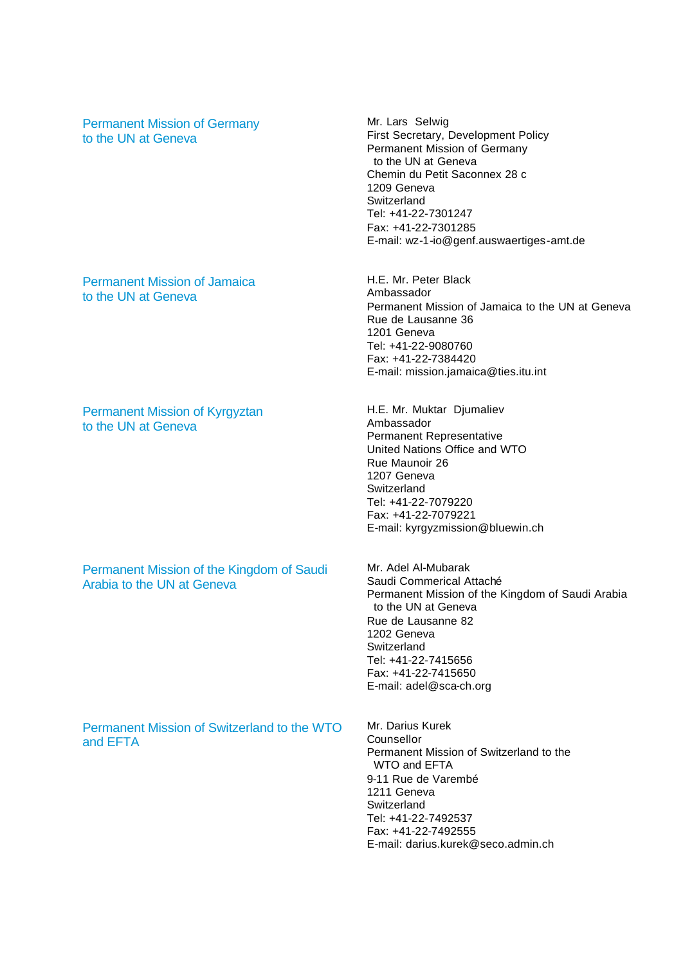Permanent Mission of Germany to the UN at Geneva

Permanent Mission of Jamaica to the UN at Geneva

Permanent Mission of Kyrgyztan to the UN at Geneva

Permanent Mission of the Kingdom of Saudi Arabia to the UN at Geneva

Permanent Mission of Switzerland to the WTO and EFTA

Mr. Lars Selwig First Secretary, Development Policy Permanent Mission of Germany to the UN at Geneva Chemin du Petit Saconnex 28 c 1209 Geneva **Switzerland** Tel: +41-22-7301247 Fax: +41-22-7301285 E-mail: wz-1-io@genf.auswaertiges-amt.de

H.E. Mr. Peter Black Ambassador Permanent Mission of Jamaica to the UN at Geneva Rue de Lausanne 36 1201 Geneva Tel: +41-22-9080760 Fax: +41-22-7384420 E-mail: mission.jamaica@ties.itu.int

H.E. Mr. Muktar Djumaliev Ambassador Permanent Representative United Nations Office and WTO Rue Maunoir 26 1207 Geneva **Switzerland** Tel: +41-22-7079220 Fax: +41-22-7079221 E-mail: kyrgyzmission@bluewin.ch

Mr. Adel Al-Mubarak Saudi Commerical Attaché Permanent Mission of the Kingdom of Saudi Arabia to the UN at Geneva Rue de Lausanne 82 1202 Geneva **Switzerland** Tel: +41-22-7415656 Fax: +41-22-7415650 E-mail: adel@sca-ch.org

Mr. Darius Kurek Counsellor Permanent Mission of Switzerland to the WTO and EFTA 9-11 Rue de Varembé 1211 Geneva **Switzerland** Tel: +41-22-7492537 Fax: +41-22-7492555 E-mail: darius.kurek@seco.admin.ch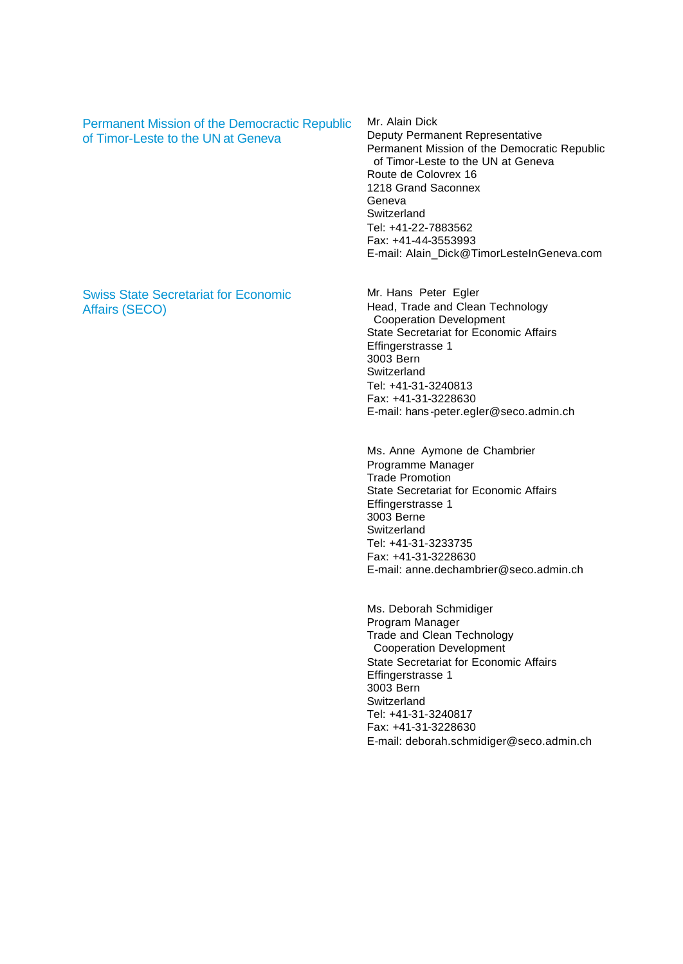Permanent Mission of the Democractic Republic of Timor-Leste to the UN at Geneva

Mr. Alain Dick Deputy Permanent Representative Permanent Mission of the Democratic Republic of Timor-Leste to the UN at Geneva Route de Colovrex 16 1218 Grand Saconnex Geneva Switzerland Tel: +41-22-7883562 Fax: +41-44-3553993 E-mail: Alain\_Dick@TimorLesteInGeneva.com

Swiss State Secretariat for Economic Affairs (SECO)

Mr. Hans Peter Egler Head, Trade and Clean Technology Cooperation Development State Secretariat for Economic Affairs Effingerstrasse 1 3003 Bern **Switzerland** Tel: +41-31-3240813 Fax: +41-31-3228630 E-mail: hans -peter.egler@seco.admin.ch

Ms. Anne Aymone de Chambrier Programme Manager Trade Promotion State Secretariat for Economic Affairs Effingerstrasse 1 3003 Berne Switzerland Tel: +41-31-3233735 Fax: +41-31-3228630 E-mail: anne.dechambrier@seco.admin.ch

Ms. Deborah Schmidiger Program Manager Trade and Clean Technology Cooperation Development State Secretariat for Economic Affairs Effingerstrasse 1 3003 Bern Switzerland Tel: +41-31-3240817 Fax: +41-31-3228630 E-mail: deborah.schmidiger@seco.admin.ch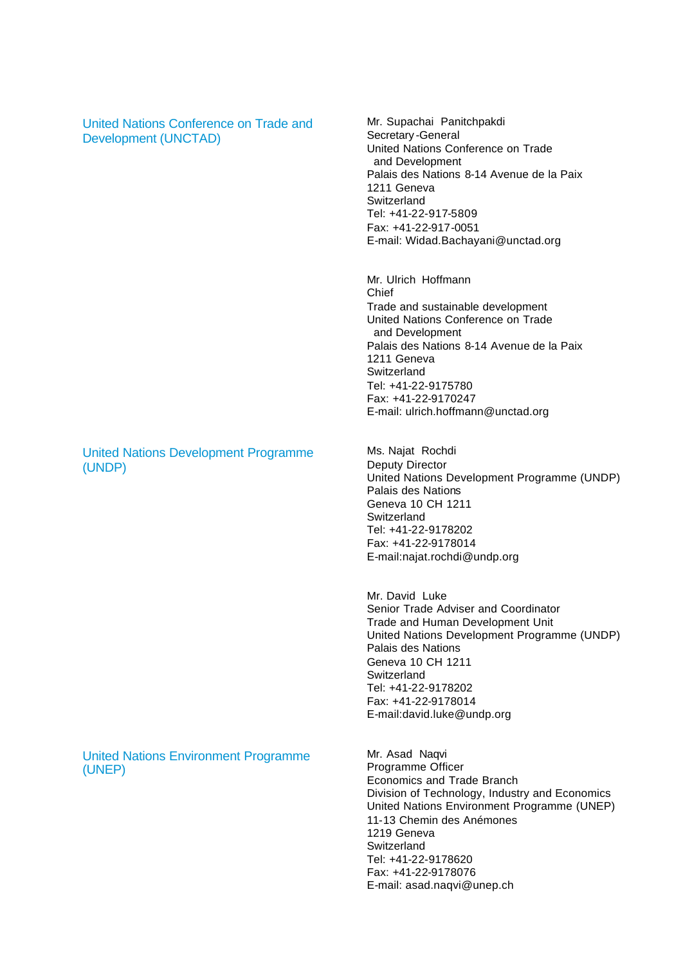| United Nations Conference on Trade and<br><b>Development (UNCTAD)</b> | Mr. Supachai Panitchpakdi<br>Secretary-General<br>United Nations Conference on Trade<br>and Development<br>Palais des Nations 8-14 Avenue de la Paix<br>1211 Geneva<br>Switzerland<br>Tel: +41-22-917-5809<br>Fax: +41-22-917-0051<br>E-mail: Widad.Bachayani@unctad.org                  |
|-----------------------------------------------------------------------|-------------------------------------------------------------------------------------------------------------------------------------------------------------------------------------------------------------------------------------------------------------------------------------------|
|                                                                       | Mr. Ulrich Hoffmann<br>Chief<br>Trade and sustainable development<br>United Nations Conference on Trade<br>and Development<br>Palais des Nations 8-14 Avenue de la Paix<br>1211 Geneva<br>Switzerland<br>Tel: +41-22-9175780<br>Fax: +41-22-9170247<br>E-mail: ulrich.hoffmann@unctad.org |
| <b>United Nations Development Programme</b><br>(UNDP)                 | Ms. Najat Rochdi<br><b>Deputy Director</b><br>United Nations Development Programme (UNDP)<br>Palais des Nations<br>Geneva 10 CH 1211<br>Switzerland<br>Tel: +41-22-9178202<br>Fax: +41-22-9178014<br>E-mail:najat.rochdi@undp.org                                                         |
|                                                                       | Mr. David Luke<br>Senior Trade Adviser and Coordinator<br>Trade and Human Development Unit<br>United Nations Development Programme (UNDP)<br>Palais des Nations<br>Geneva 10 CH 1211<br>Switzerland<br>Tel: +41-22-9178202<br>Fax: +41-22-9178014<br>E-mail:david.luke@undp.org           |
| <b>United Nations Environment Programme</b><br>(UNEP)                 | Mr. Asad Naqvi<br>Programme Officer<br><b>Economics and Trade Branch</b><br>Division of Technology, Industry and Economics<br>United Nations Environment Programme (UNEP)<br>11-13 Chemin des Anémones<br>1219 Geneva<br>Switzerland<br>Tel: +41-22-9178620<br>Fax: +41-22-9178076        |

E-mail: asad.naqvi@unep.ch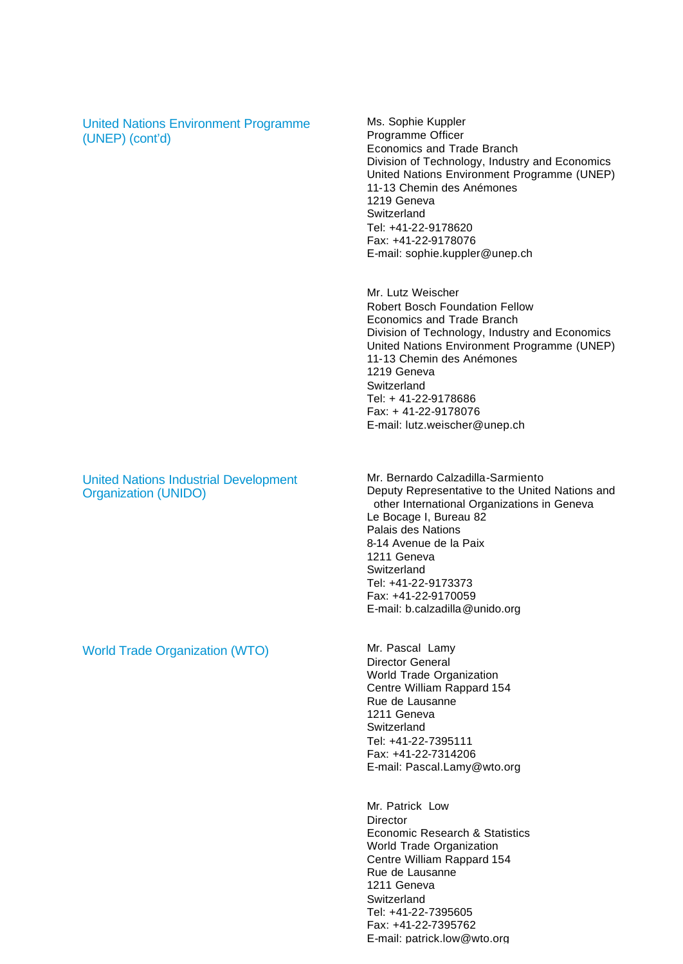United Nations Environment Programme (UNEP) (cont'd)

Ms. Sophie Kuppler Programme Officer Economics and Trade Branch Division of Technology, Industry and Economics United Nations Environment Programme (UNEP) 11-13 Chemin des Anémones 1219 Geneva Switzerland Tel: +41-22-9178620 Fax: +41-22-9178076 E-mail: sophie.kuppler@unep.ch

Mr. Lutz Weischer Robert Bosch Foundation Fellow Economics and Trade Branch Division of Technology, Industry and Economics United Nations Environment Programme (UNEP) 11-13 Chemin des Anémones 1219 Geneva Switzerland Tel: + 41-22-9178686 Fax: + 41-22-9178076 E-mail: lutz.weischer@unep.ch

United Nations Industrial Development Organization (UNIDO)

Mr. Bernardo Calzadilla-Sarmiento Deputy Representative to the United Nations and other International Organizations in Geneva Le Bocage I, Bureau 82 Palais des Nations 8-14 Avenue de la Paix 1211 Geneva **Switzerland** Tel: +41-22-9173373 Fax: +41-22-9170059 E-mail: b.calzadilla@unido.org

Director General World Trade Organization Centre William Rappard 154 Rue de Lausanne 1211 Geneva **Switzerland** Tel: +41-22-7395111 Fax: +41-22-7314206 E-mail: Pascal.Lamy@wto.org

Mr. Patrick Low **Director** Economic Research & Statistics World Trade Organization Centre William Rappard 154 Rue de Lausanne 1211 Geneva **Switzerland** Tel: +41-22-7395605 Fax: +41-22-7395762 E-mail: patrick.low@wto.org

World Trade Organization (WTO) Mr. Pascal Lamy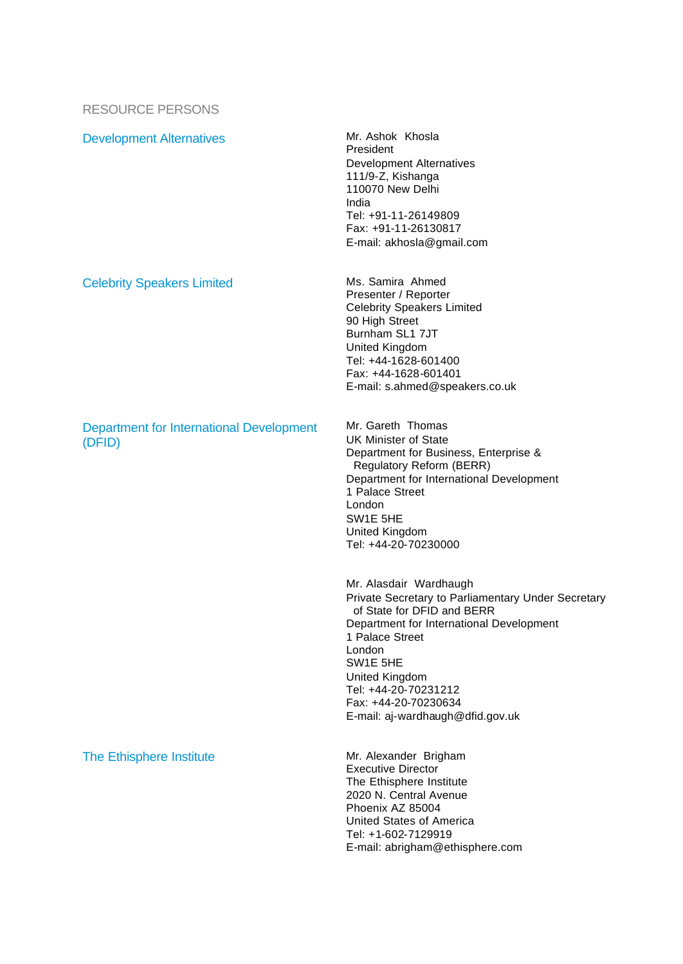#### RESOURCE PERSONS

Development Alternatives Mr. Ashok Khosla

Celebrity Speakers Limited Ms. Samira Ahmed

#### Department for International Development (DFID)

The Ethisphere Institute Mr. Alexander Brigham

President Development Alternatives 111/9-Z, Kishanga 110070 New Delhi India Tel: +91-11-26149809 Fax: +91-11-26130817 E-mail: akhosla@gmail.com

Presenter / Reporter Celebrity Speakers Limited 90 High Street Burnham SL1 7JT United Kingdom Tel: +44-1628-601400 Fax: +44-1628-601401 E-mail: s.ahmed@speakers.co.uk

Mr. Gareth Thomas UK Minister of State Department for Business, Enterprise & Regulatory Reform (BERR) Department for International Development 1 Palace Street London SW1E 5HE United Kingdom Tel: +44-20-70230000

Mr. Alasdair Wardhaugh Private Secretary to Parliamentary Under Secretary of State for DFID and BERR Department for International Development 1 Palace Street London SW1E 5HE United Kingdom Tel: +44-20-70231212 Fax: +44-20-70230634 E-mail: aj-wardhaugh@dfid.gov.uk

Executive Director The Ethisphere Institute 2020 N. Central Avenue Phoenix AZ 85004 United States of America Tel: +1-602-7129919 E-mail: abrigham@ethisphere.com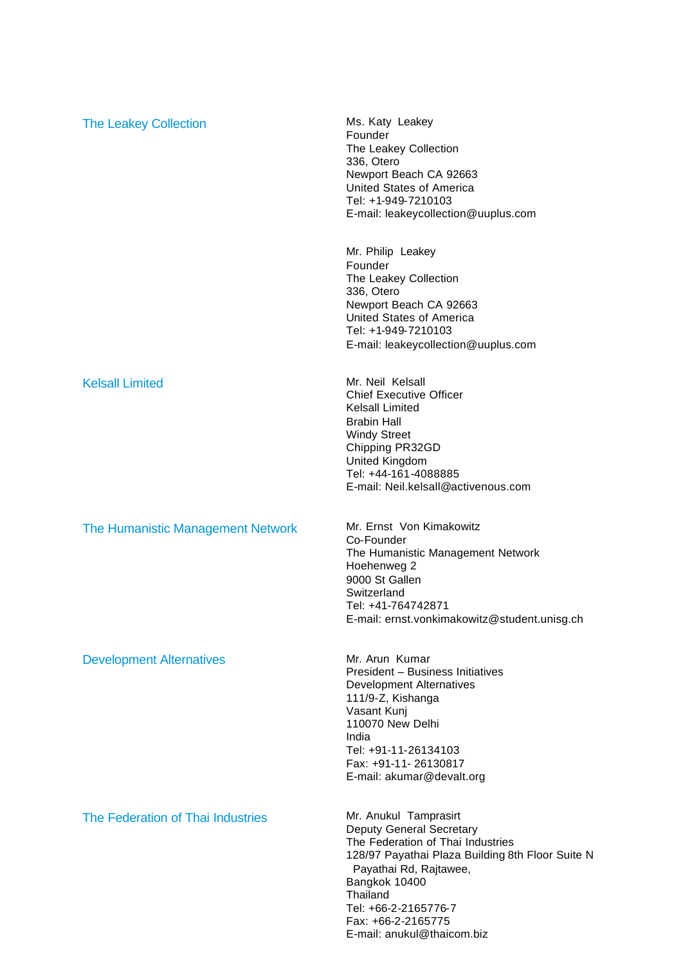| <b>The Leakey Collection</b>             | Ms. Katy Leakey<br>Founder<br>The Leakey Collection<br>336, Otero<br>Newport Beach CA 92663<br>United States of America<br>Tel: +1-949-7210103<br>E-mail: leakeycollection@uuplus.com                                                           |
|------------------------------------------|-------------------------------------------------------------------------------------------------------------------------------------------------------------------------------------------------------------------------------------------------|
|                                          | Mr. Philip Leakey<br>Founder<br>The Leakey Collection<br>336, Otero<br>Newport Beach CA 92663<br>United States of America<br>Tel: +1-949-7210103<br>E-mail: leakeycollection@uuplus.com                                                         |
| <b>Kelsall Limited</b>                   | Mr. Neil Kelsall<br><b>Chief Executive Officer</b><br>Kelsall Limited<br><b>Brabin Hall</b><br><b>Windy Street</b><br>Chipping PR32GD<br>United Kingdom<br>Tel: +44-161-4088885<br>E-mail: Neil.kelsall@activenous.com                          |
| <b>The Humanistic Management Network</b> | Mr. Ernst Von Kimakowitz<br>Co-Founder<br>The Humanistic Management Network<br>Hoehenweg 2<br>9000 St Gallen<br>Switzerland<br>Tel: +41-764742871<br>E-mail: ernst.vonkimakowitz@student.unisg.ch                                               |
| <b>Development Alternatives</b>          | Mr. Arun Kumar<br>President - Business Initiatives<br><b>Development Alternatives</b><br>111/9-Z, Kishanga<br>Vasant Kunj<br>110070 New Delhi<br>India<br>Tel: +91-11-26134103<br>Fax: +91-11-26130817<br>E-mail: akumar@devalt.org             |
| The Federation of Thai Industries        | Mr. Anukul Tamprasirt<br>Deputy General Secretary<br>The Federation of Thai Industries<br>128/97 Payathai Plaza Building 8th Floor Suite N<br>Payathai Rd, Rajtawee,<br>Bangkok 10400<br>Thailand<br>Tel: +66-2-2165776-7<br>Fax: +66-2-2165775 |

E-mail: anukul@thaicom.biz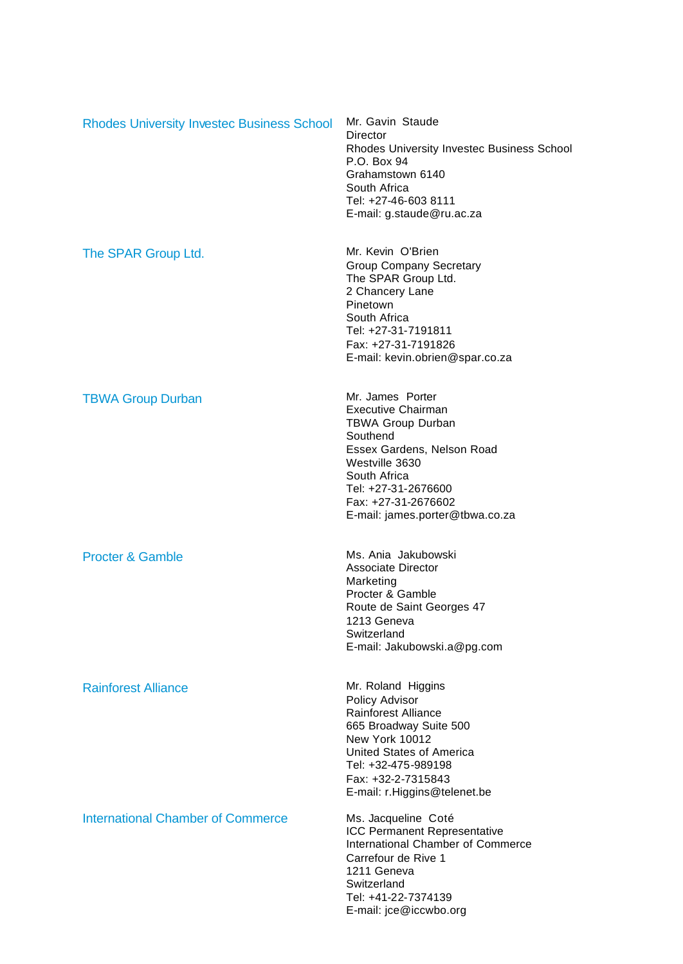| <b>Rhodes University Invested Business School</b> | Mr. Gavin Staude<br><b>Director</b><br><b>Rhodes University Investec Business School</b><br>P.O. Box 94<br>Grahamstown 6140<br>South Africa<br>Tel: +27-46-603 8111<br>E-mail: g.staude@ru.ac.za                                       |
|---------------------------------------------------|----------------------------------------------------------------------------------------------------------------------------------------------------------------------------------------------------------------------------------------|
| The SPAR Group Ltd.                               | Mr. Kevin O'Brien<br><b>Group Company Secretary</b><br>The SPAR Group Ltd.<br>2 Chancery Lane<br>Pinetown<br>South Africa<br>Tel: +27-31-7191811<br>Fax: +27-31-7191826<br>E-mail: kevin.obrien@spar.co.za                             |
| <b>TBWA Group Durban</b>                          | Mr. James Porter<br><b>Executive Chairman</b><br><b>TBWA Group Durban</b><br>Southend<br>Essex Gardens, Nelson Road<br>Westville 3630<br>South Africa<br>Tel: +27-31-2676600<br>Fax: +27-31-2676602<br>E-mail: james.porter@tbwa.co.za |
| <b>Procter &amp; Gamble</b>                       | Ms. Ania Jakubowski<br><b>Associate Director</b><br>Marketing<br>Procter & Gamble<br>Route de Saint Georges 47<br>1213 Geneva<br>Switzerland<br>E-mail: Jakubowski.a@pg.com                                                            |
| <b>Rainforest Alliance</b>                        | Mr. Roland Higgins<br>Policy Advisor<br><b>Rainforest Alliance</b><br>665 Broadway Suite 500<br>New York 10012<br>United States of America<br>Tel: +32-475-989198<br>Fax: +32-2-7315843<br>E-mail: r.Higgins@telenet.be                |
| <b>International Chamber of Commerce</b>          | Ms. Jacqueline Coté<br><b>ICC Permanent Representative</b><br>International Chamber of Commerce<br>Carrefour de Rive 1<br>1211 Geneva<br>Switzerland<br>Tel: +41-22-7374139<br>E-mail: jce@iccwbo.org                                  |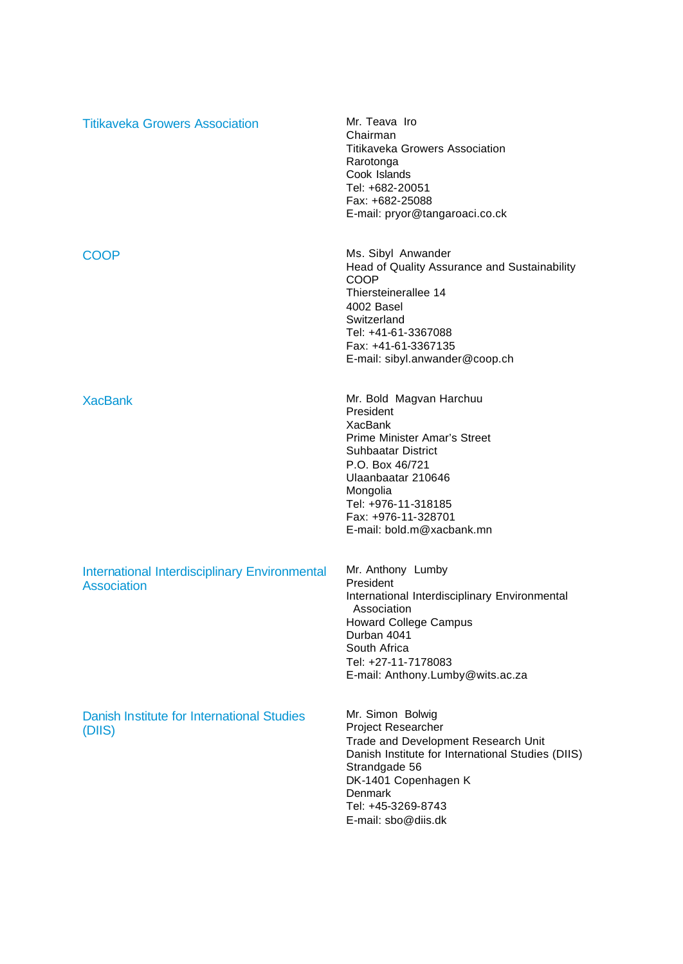| <b>Titikaveka Growers Association</b>                                      | Mr. Teava Iro<br>Chairman<br><b>Titikaveka Growers Association</b><br>Rarotonga<br>Cook Islands<br>Tel: +682-20051<br>Fax: +682-25088<br>E-mail: pryor@tangaroaci.co.ck                                                                             |
|----------------------------------------------------------------------------|-----------------------------------------------------------------------------------------------------------------------------------------------------------------------------------------------------------------------------------------------------|
| <b>COOP</b>                                                                | Ms. Sibyl Anwander<br>Head of Quality Assurance and Sustainability<br><b>COOP</b><br>Thiersteinerallee 14<br>4002 Basel<br>Switzerland<br>Tel: +41-61-3367088<br>Fax: +41-61-3367135<br>E-mail: sibyl.anwander@coop.ch                              |
| <b>XacBank</b>                                                             | Mr. Bold Magvan Harchuu<br>President<br>XacBank<br><b>Prime Minister Amar's Street</b><br><b>Suhbaatar District</b><br>P.O. Box 46/721<br>Ulaanbaatar 210646<br>Mongolia<br>Tel: +976-11-318185<br>Fax: +976-11-328701<br>E-mail: bold.m@xacbank.mn |
| <b>International Interdisciplinary Environmental</b><br><b>Association</b> | Mr. Anthony Lumby<br>President<br>International Interdisciplinary Environmental<br>Association<br><b>Howard College Campus</b><br>Durban 4041<br>South Africa<br>Tel: +27-11-7178083<br>E-mail: Anthony.Lumby@wits.ac.za                            |
| Danish Institute for International Studies<br>(DIIS)                       | Mr. Simon Bolwig<br><b>Project Researcher</b><br>Trade and Development Research Unit<br>Danish Institute for International Studies (DIIS)<br>Strandgade 56<br>DK-1401 Copenhagen K<br>Denmark<br>Tel: +45-3269-8743<br>E-mail: sbo@diis.dk          |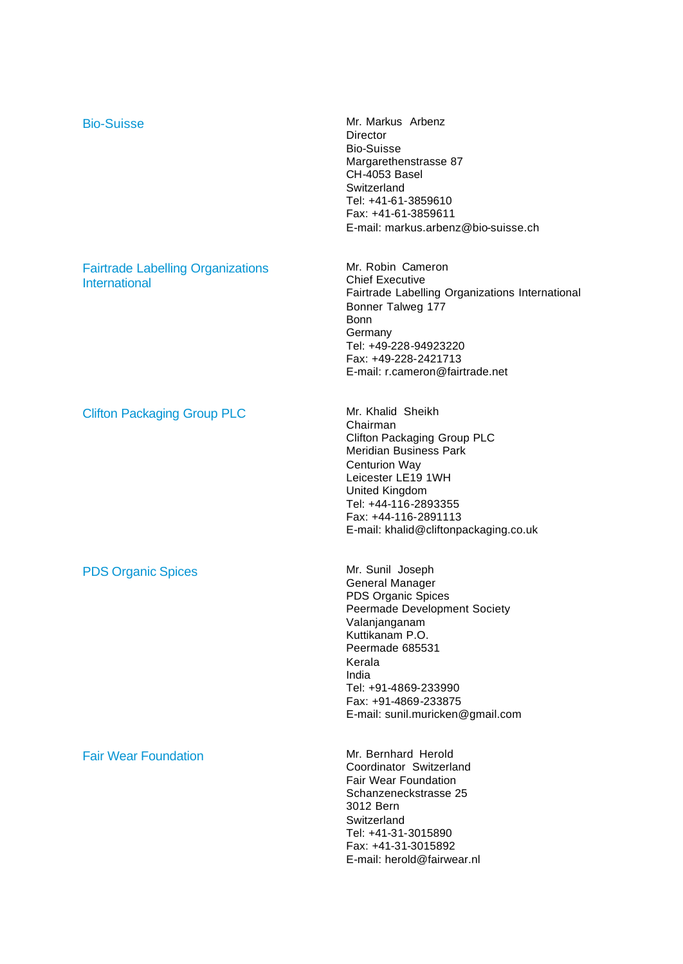| <b>Bio-Suisse</b>                                         | Mr. Markus Arbenz<br>Director<br><b>Bio-Suisse</b><br>Margarethenstrasse 87<br>CH-4053 Basel<br>Switzerland<br>Tel: +41-61-3859610<br>Fax: +41-61-3859611<br>E-mail: markus.arbenz@bio-suisse.ch                                                        |
|-----------------------------------------------------------|---------------------------------------------------------------------------------------------------------------------------------------------------------------------------------------------------------------------------------------------------------|
| <b>Fairtrade Labelling Organizations</b><br>International | Mr. Robin Cameron<br><b>Chief Executive</b><br>Fairtrade Labelling Organizations International<br>Bonner Talweg 177<br><b>Bonn</b><br>Germany<br>Tel: +49-228-94923220<br>Fax: +49-228-2421713<br>E-mail: r.cameron@fairtrade.net                       |
| <b>Clifton Packaging Group PLC</b>                        | Mr. Khalid Sheikh<br>Chairman<br><b>Clifton Packaging Group PLC</b><br><b>Meridian Business Park</b><br>Centurion Way<br>Leicester LE19 1WH<br>United Kingdom<br>Tel: +44-116-2893355<br>Fax: +44-116-2891113<br>E-mail: khalid@cliftonpackaging.co.uk  |
| <b>PDS Organic Spices</b>                                 | Mr. Sunil Joseph<br>General Manager<br>PDS Organic Spices<br>Peermade Development Society<br>Valanjanganam<br>Kuttikanam P.O.<br>Peermade 685531<br>Kerala<br>India<br>Tel: +91-4869-233990<br>Fax: +91-4869-233875<br>E-mail: sunil.muricken@gmail.com |
| <b>Fair Wear Foundation</b>                               | Mr. Bernhard Herold<br>Coordinator Switzerland<br><b>Fair Wear Foundation</b><br>Schanzeneckstrasse 25<br>3012 Bern<br>Switzerland<br>Tel: +41-31-3015890<br>Fax: +41-31-3015892<br>E-mail: herold@fairwear.nl                                          |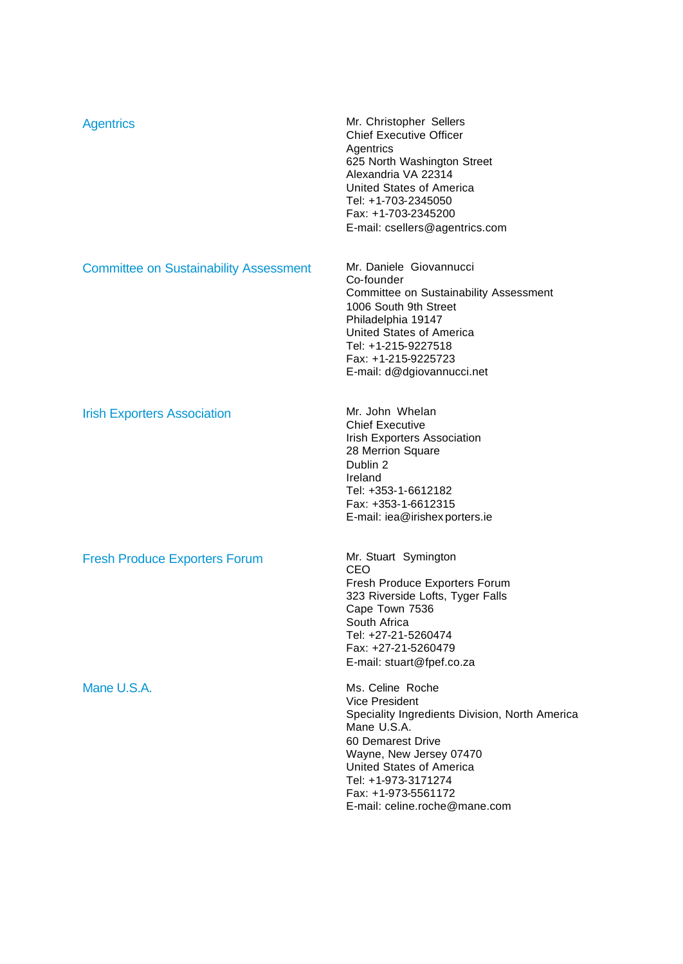| Mr. Daniele Giovannucci<br><b>Committee on Sustainability Assessment</b><br>Co-founder<br>Committee on Sustainability Assessment<br>1006 South 9th Street<br>Philadelphia 19147<br>United States of America<br>Tel: +1-215-9227518<br>Fax: +1-215-9225723<br>E-mail: d@dgiovannucci.net<br>Mr. John Whelan<br><b>Irish Exporters Association</b><br><b>Chief Executive</b><br><b>Irish Exporters Association</b><br>28 Merrion Square<br>Dublin 2<br>Ireland<br>Tel: +353-1-6612182<br>Fax: +353-1-6612315<br>E-mail: iea@irishex porters.ie<br>Mr. Stuart Symington<br><b>Fresh Produce Exporters Forum</b><br>CEO<br>Fresh Produce Exporters Forum<br>323 Riverside Lofts, Tyger Falls<br>Cape Town 7536<br>South Africa<br>Tel: +27-21-5260474<br>Fax: +27-21-5260479<br>E-mail: stuart@fpef.co.za<br>Mane U.S.A.<br>Ms. Celine Roche<br><b>Vice President</b><br>Mane U.S.A.<br>60 Demarest Drive<br>Wayne, New Jersey 07470<br>United States of America<br>Tel: +1-973-3171274 | <b>Agentrics</b> | Mr. Christopher Sellers<br><b>Chief Executive Officer</b><br>Agentrics<br>625 North Washington Street<br>Alexandria VA 22314<br><b>United States of America</b><br>Tel: +1-703-2345050<br>Fax: +1-703-2345200<br>E-mail: csellers@agentrics.com |
|-------------------------------------------------------------------------------------------------------------------------------------------------------------------------------------------------------------------------------------------------------------------------------------------------------------------------------------------------------------------------------------------------------------------------------------------------------------------------------------------------------------------------------------------------------------------------------------------------------------------------------------------------------------------------------------------------------------------------------------------------------------------------------------------------------------------------------------------------------------------------------------------------------------------------------------------------------------------------------------|------------------|-------------------------------------------------------------------------------------------------------------------------------------------------------------------------------------------------------------------------------------------------|
|                                                                                                                                                                                                                                                                                                                                                                                                                                                                                                                                                                                                                                                                                                                                                                                                                                                                                                                                                                                     |                  |                                                                                                                                                                                                                                                 |
|                                                                                                                                                                                                                                                                                                                                                                                                                                                                                                                                                                                                                                                                                                                                                                                                                                                                                                                                                                                     |                  |                                                                                                                                                                                                                                                 |
|                                                                                                                                                                                                                                                                                                                                                                                                                                                                                                                                                                                                                                                                                                                                                                                                                                                                                                                                                                                     |                  |                                                                                                                                                                                                                                                 |
| E-mail: celine.roche@mane.com                                                                                                                                                                                                                                                                                                                                                                                                                                                                                                                                                                                                                                                                                                                                                                                                                                                                                                                                                       |                  | Speciality Ingredients Division, North America<br>Fax: +1-973-5561172                                                                                                                                                                           |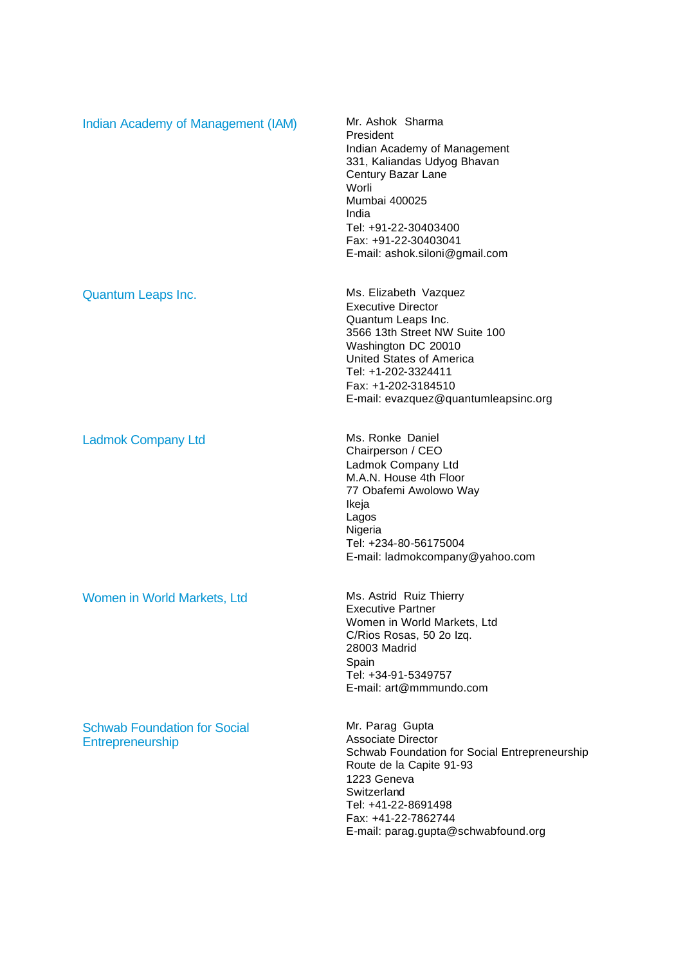| Indian Academy of Management (IAM)                      | Mr. Ashok Sharma<br>President<br>Indian Academy of Management<br>331, Kaliandas Udyog Bhavan<br>Century Bazar Lane<br>Worli<br><b>Mumbai 400025</b><br>India<br>Tel: +91-22-30403400<br>Fax: +91-22-30403041<br>E-mail: ashok.siloni@gmail.com     |
|---------------------------------------------------------|----------------------------------------------------------------------------------------------------------------------------------------------------------------------------------------------------------------------------------------------------|
| <b>Quantum Leaps Inc.</b>                               | Ms. Elizabeth Vazquez<br><b>Executive Director</b><br>Quantum Leaps Inc.<br>3566 13th Street NW Suite 100<br>Washington DC 20010<br>United States of America<br>Tel: +1-202-3324411<br>Fax: +1-202-3184510<br>E-mail: evazquez@quantumleapsinc.org |
| <b>Ladmok Company Ltd</b>                               | Ms. Ronke Daniel<br>Chairperson / CEO<br>Ladmok Company Ltd<br>M.A.N. House 4th Floor<br>77 Obafemi Awolowo Way<br>Ikeja<br>Lagos<br>Nigeria<br>Tel: +234-80-56175004<br>E-mail: ladmokcompany@yahoo.com                                           |
| Women in World Markets, Ltd                             | Ms. Astrid Ruiz Thierry<br><b>Executive Partner</b><br>Women in World Markets, Ltd<br>C/Rios Rosas, 50 2o Izq.<br>28003 Madrid<br>Spain<br>Tel: +34-91-5349757<br>E-mail: art@mmmundo.com                                                          |
| <b>Schwab Foundation for Social</b><br>Entrepreneurship | Mr. Parag Gupta<br><b>Associate Director</b><br>Schwab Foundation for Social Entrepreneurship<br>Route de la Capite 91-93<br>1223 Geneva<br>Switzerland<br>Tel: +41-22-8691498<br>Fax: +41-22-7862744<br>E-mail: parag.gupta@schwabfound.org       |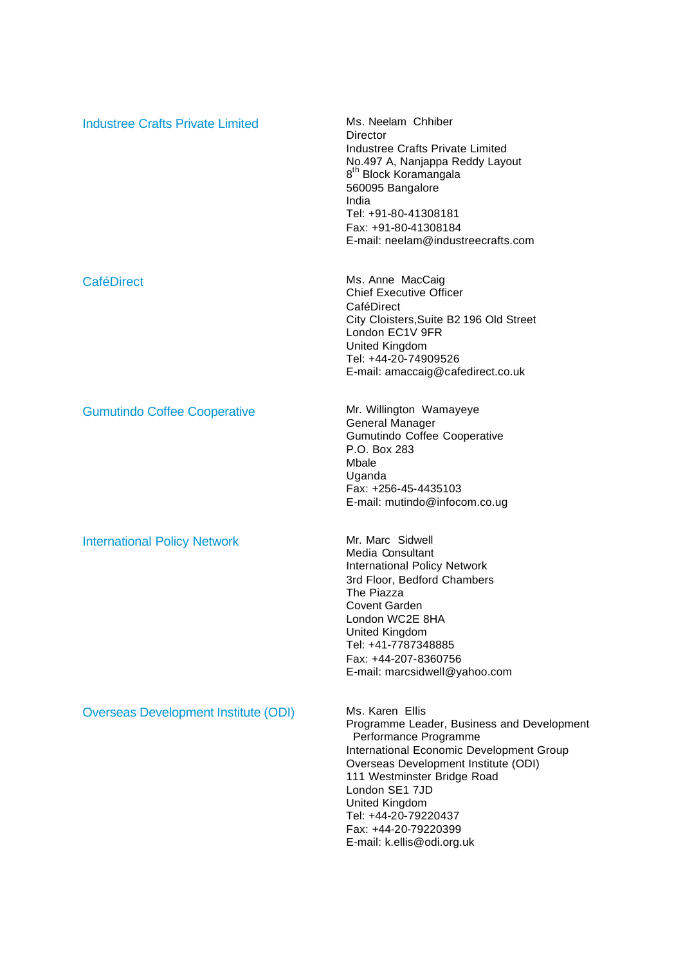| <b>Industree Crafts Private Limited</b>     | Ms. Neelam Chhiber<br>Director<br><b>Industree Crafts Private Limited</b><br>No.497 A, Nanjappa Reddy Layout<br>8 <sup>th</sup> Block Koramangala<br>560095 Bangalore<br>India<br>Tel: +91-80-41308181<br>Fax: +91-80-41308184<br>E-mail: neelam@industreecrafts.com                                                        |
|---------------------------------------------|-----------------------------------------------------------------------------------------------------------------------------------------------------------------------------------------------------------------------------------------------------------------------------------------------------------------------------|
| <b>CaféDirect</b>                           | Ms. Anne MacCaig<br><b>Chief Executive Officer</b><br>CaféDirect<br>City Cloisters, Suite B2 196 Old Street<br>London EC1V 9FR<br>United Kingdom<br>Tel: +44-20-74909526<br>E-mail: amaccaig@cafedirect.co.uk                                                                                                               |
| <b>Gumutindo Coffee Cooperative</b>         | Mr. Willington Wamayeye<br>General Manager<br>Gumutindo Coffee Cooperative<br>P.O. Box 283<br>Mbale<br>Uganda<br>Fax: +256-45-4435103<br>E-mail: mutindo@infocom.co.ug                                                                                                                                                      |
| <b>International Policy Network</b>         | Mr. Marc Sidwell<br>Media Consultant<br><b>International Policy Network</b><br>3rd Floor, Bedford Chambers<br>The Piazza<br><b>Covent Garden</b><br>London WC2E 8HA<br>United Kingdom<br>Tel: +41-7787348885<br>Fax: +44-207-8360756<br>E-mail: marcsidwell@yahoo.com                                                       |
| <b>Overseas Development Institute (ODI)</b> | Ms. Karen Ellis<br>Programme Leader, Business and Development<br>Performance Programme<br>International Economic Development Group<br>Overseas Development Institute (ODI)<br>111 Westminster Bridge Road<br>London SE1 7JD<br>United Kingdom<br>Tel: +44-20-79220437<br>Fax: +44-20-79220399<br>E-mail: k.ellis@odi.org.uk |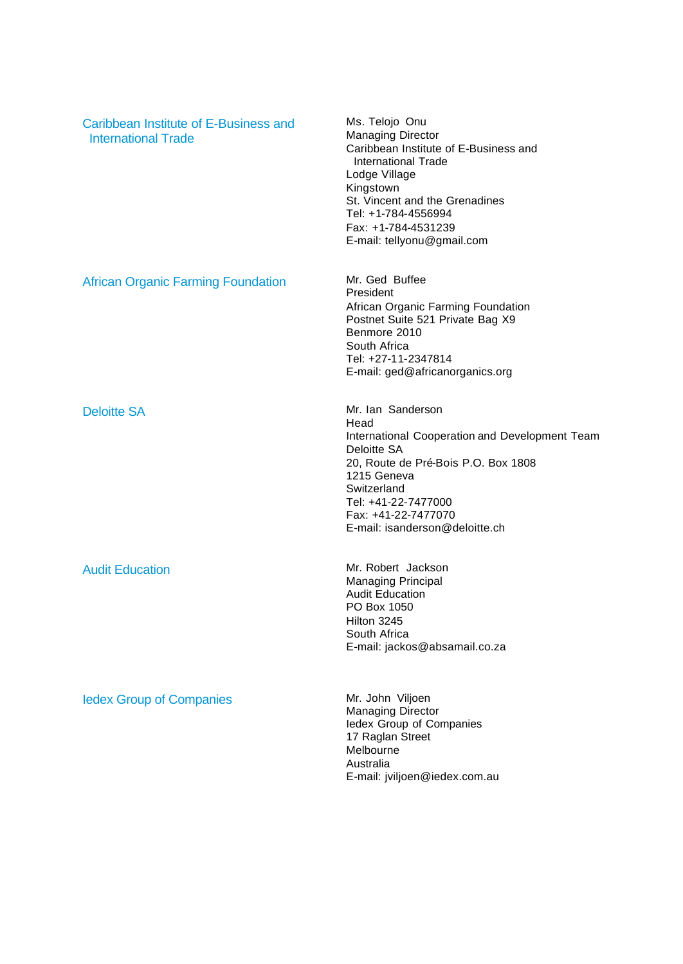| Caribbean Institute of E-Business and<br><b>International Trade</b> | Ms. Telojo Onu<br><b>Managing Director</b><br>Caribbean Institute of E-Business and<br><b>International Trade</b><br>Lodge Village<br>Kingstown<br>St. Vincent and the Grenadines<br>Tel: +1-784-4556994<br>Fax: +1-784-4531239<br>E-mail: tellyonu@gmail.com |
|---------------------------------------------------------------------|---------------------------------------------------------------------------------------------------------------------------------------------------------------------------------------------------------------------------------------------------------------|
| <b>African Organic Farming Foundation</b>                           | Mr. Ged Buffee<br>President<br>African Organic Farming Foundation<br>Postnet Suite 521 Private Bag X9<br>Benmore 2010<br>South Africa<br>Tel: +27-11-2347814<br>E-mail: ged@africanorganics.org                                                               |
| <b>Deloitte SA</b>                                                  | Mr. Ian Sanderson<br>Head<br>International Cooperation and Development Team<br>Deloitte SA<br>20, Route de Pré-Bois P.O. Box 1808<br>1215 Geneva<br>Switzerland<br>Tel: +41-22-7477000<br>Fax: +41-22-7477070<br>E-mail: isanderson@deloitte.ch               |
| <b>Audit Education</b>                                              | Mr. Robert Jackson<br><b>Managing Principal</b><br><b>Audit Education</b><br>PO Box 1050<br>Hilton 3245<br>South Africa<br>E-mail: jackos@absamail.co.za                                                                                                      |
| <b>ledex Group of Companies</b>                                     | Mr. John Viljoen<br><b>Managing Director</b><br>ledex Group of Companies<br>17 Raglan Street<br>Melbourne<br>Australia<br>E-mail: jviljoen@iedex.com.au                                                                                                       |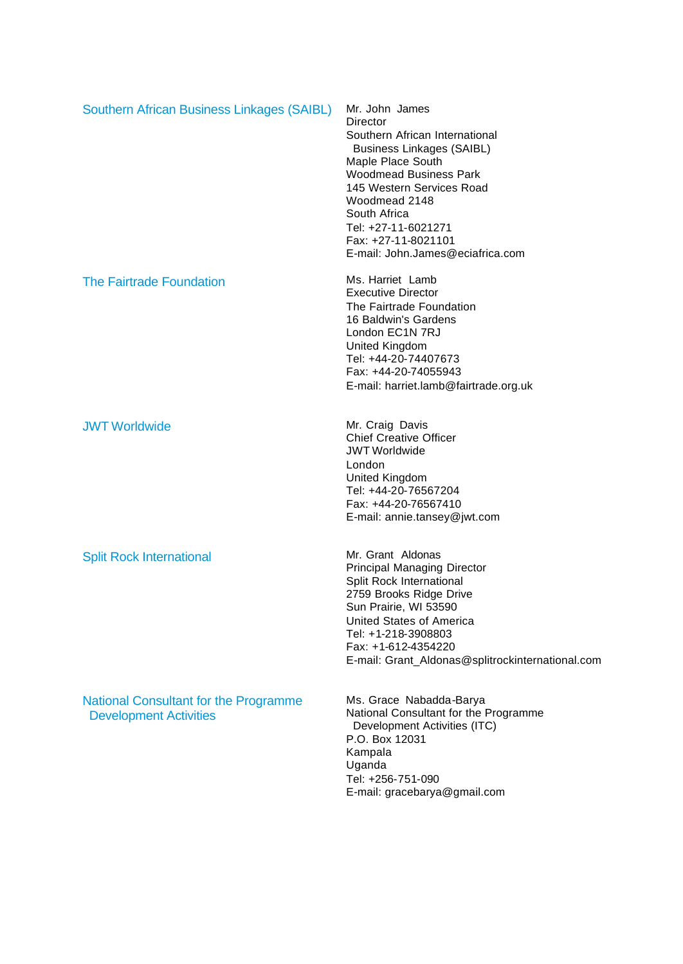| Southern African Business Linkages (SAIBL)                                    | Mr. John James<br>Director<br>Southern African International<br><b>Business Linkages (SAIBL)</b><br>Maple Place South<br><b>Woodmead Business Park</b><br>145 Western Services Road<br>Woodmead 2148<br>South Africa<br>Tel: +27-11-6021271<br>Fax: +27-11-8021101<br>E-mail: John.James@eciafrica.com |
|-------------------------------------------------------------------------------|--------------------------------------------------------------------------------------------------------------------------------------------------------------------------------------------------------------------------------------------------------------------------------------------------------|
| <b>The Fairtrade Foundation</b>                                               | Ms. Harriet Lamb<br><b>Executive Director</b><br>The Fairtrade Foundation<br>16 Baldwin's Gardens<br>London EC1N 7RJ<br>United Kingdom<br>Tel: +44-20-74407673<br>Fax: +44-20-74055943<br>E-mail: harriet.lamb@fairtrade.org.uk                                                                        |
| <b>JWT Worldwide</b>                                                          | Mr. Craig Davis<br><b>Chief Creative Officer</b><br><b>JWT Worldwide</b><br>London<br>United Kingdom<br>Tel: +44-20-76567204<br>Fax: +44-20-76567410<br>E-mail: annie.tansey@jwt.com                                                                                                                   |
| <b>Split Rock International</b>                                               | Mr. Grant Aldonas<br>Principal Managing Director<br>Split Rock International<br>2759 Brooks Ridge Drive<br>Sun Prairie, WI 53590<br>United States of America<br>Tel: +1-218-3908803<br>Fax: +1-612-4354220<br>E-mail: Grant_Aldonas@splitrockinternational.com                                         |
| <b>National Consultant for the Programme</b><br><b>Development Activities</b> | Ms. Grace Nabadda-Barya<br>National Consultant for the Programme<br>Development Activities (ITC)<br>P.O. Box 12031<br>Kampala<br>Uganda<br>Tel: +256-751-090<br>E-mail: gracebarya@gmail.com                                                                                                           |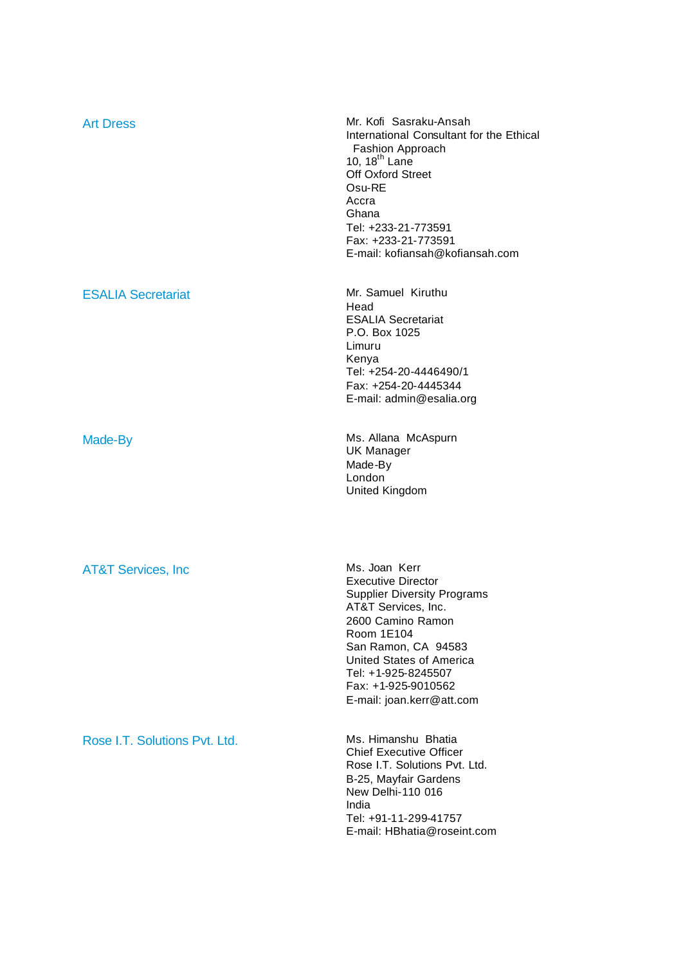| <b>Art Dress</b>               | Mr. Kofi Sasraku-Ansah<br>International Consultant for the Ethical<br>Fashion Approach<br>10, $18^{th}$ Lane<br>Off Oxford Street<br>Osu-RE<br>Accra<br>Ghana<br>Tel: +233-21-773591<br>Fax: +233-21-773591<br>E-mail: kofiansah@kofiansah.com                           |
|--------------------------------|--------------------------------------------------------------------------------------------------------------------------------------------------------------------------------------------------------------------------------------------------------------------------|
| <b>ESALIA Secretariat</b>      | Mr. Samuel Kiruthu<br>Head<br><b>ESALIA Secretariat</b><br>P.O. Box 1025<br>Limuru<br>Kenya<br>Tel: +254-20-4446490/1<br>Fax: +254-20-4445344<br>E-mail: admin@esalia.org                                                                                                |
| Made-By                        | Ms. Allana McAspurn<br><b>UK Manager</b><br>Made-By<br>London<br>United Kingdom                                                                                                                                                                                          |
| <b>AT&amp;T Services, Inc.</b> | Ms. Joan Kerr<br><b>Executive Director</b><br><b>Supplier Diversity Programs</b><br>AT&T Services, Inc.<br>2600 Camino Ramon<br>Room 1E104<br>San Ramon, CA 94583<br>United States of America<br>Tel: +1-925-8245507<br>Fax: +1-925-9010562<br>E-mail: joan.kerr@att.com |
| Rose I.T. Solutions Pvt. Ltd.  | Ms. Himanshu Bhatia<br><b>Chief Executive Officer</b><br>Rose I.T. Solutions Pvt. Ltd.<br>B-25, Mayfair Gardens<br>New Delhi-110 016<br>India<br>Tel: +91-11-299-41757<br>E-mail: HBhatia@roseint.com                                                                    |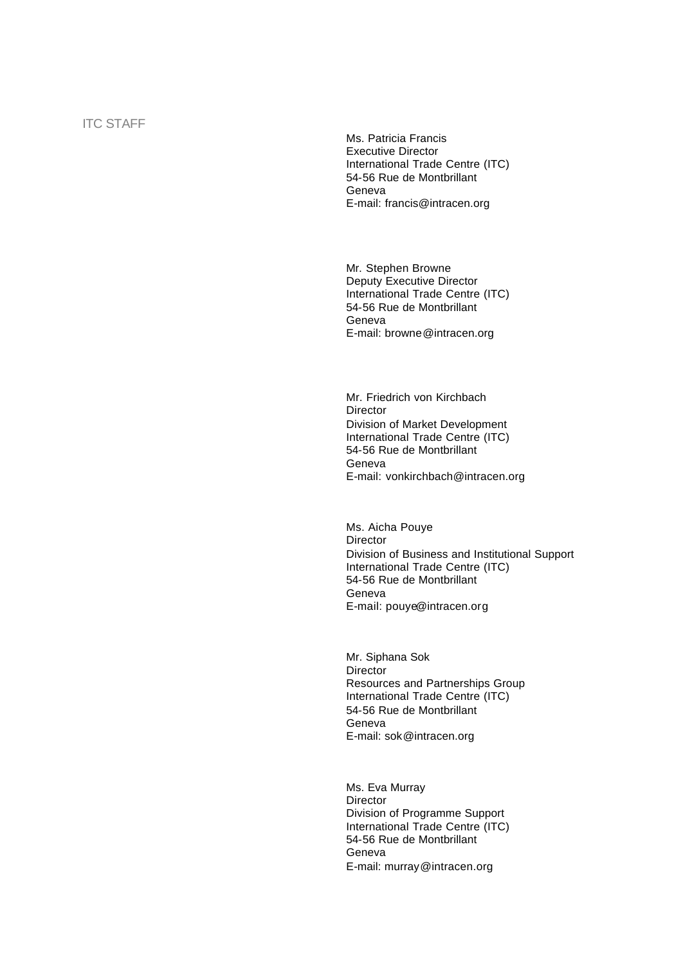Ms. Patricia Francis Executive Director International Trade Centre (ITC) 54-56 Rue de Montbrillant Geneva E-mail: francis@intracen.org

Mr. Stephen Browne Deputy Executive Director International Trade Centre (ITC) 54-56 Rue de Montbrillant Geneva E-mail: browne@intracen.org

Mr. Friedrich von Kirchbach **Director** Division of Market Development International Trade Centre (ITC) 54-56 Rue de Montbrillant Geneva E-mail: vonkirchbach@intracen.org

Ms. Aicha Pouye **Director** Division of Business and Institutional Support International Trade Centre (ITC) 54-56 Rue de Montbrillant Geneva E-mail: pouye@intracen.org

Mr. Siphana Sok Director Resources and Partnerships Group International Trade Centre (ITC) 54-56 Rue de Montbrillant Geneva E-mail: sok@intracen.org

Ms. Eva Murray **Director** Division of Programme Support International Trade Centre (ITC) 54-56 Rue de Montbrillant Geneva E-mail: murray@intracen.org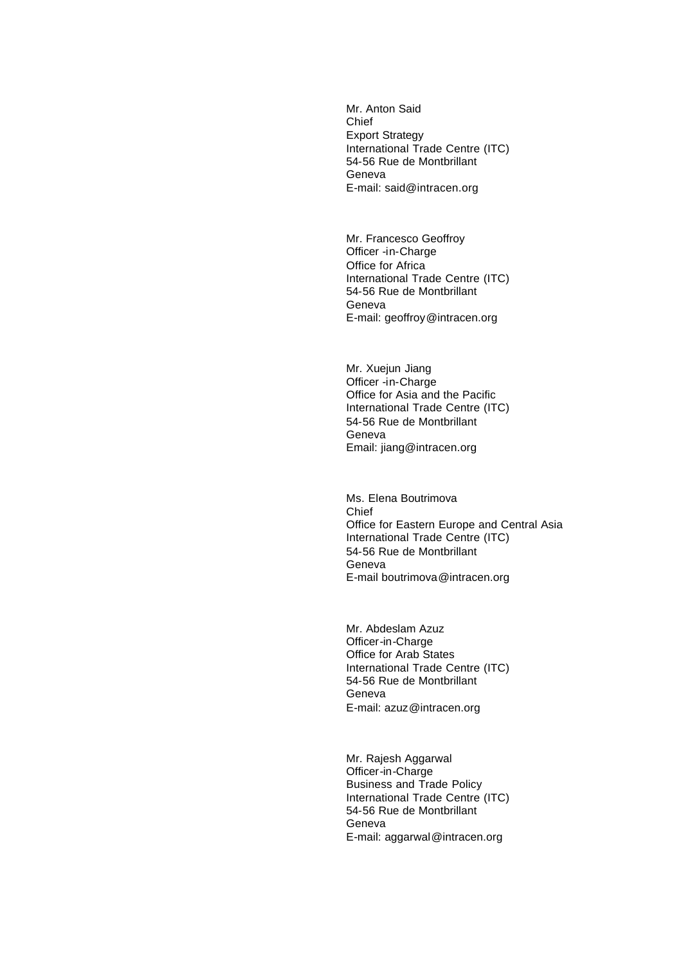Mr. Anton Said **Chief** Export Strategy International Trade Centre (ITC) 54-56 Rue de Montbrillant Geneva E-mail: said@intracen.org

Mr. Francesco Geoffroy Officer -in-Charge Office for Africa International Trade Centre (ITC) 54-56 Rue de Montbrillant Geneva E-mail: geoffroy@intracen.org

Mr. Xuejun Jiang Officer -in-Charge Office for Asia and the Pacific International Trade Centre (ITC) 54-56 Rue de Montbrillant Geneva Email: jiang@intracen.org

Ms. Elena Boutrimova Chief Office for Eastern Europe and Central Asia International Trade Centre (ITC) 54-56 Rue de Montbrillant Geneva E-mail boutrimova@intracen.org

Mr. Abdeslam Azuz Officer-in-Charge Office for Arab States International Trade Centre (ITC) 54-56 Rue de Montbrillant Geneva E-mail: azuz@intracen.org

Mr. Rajesh Aggarwal Officer-in-Charge Business and Trade Policy International Trade Centre (ITC) 54-56 Rue de Montbrillant Geneva E-mail: aggarwal@intracen.org